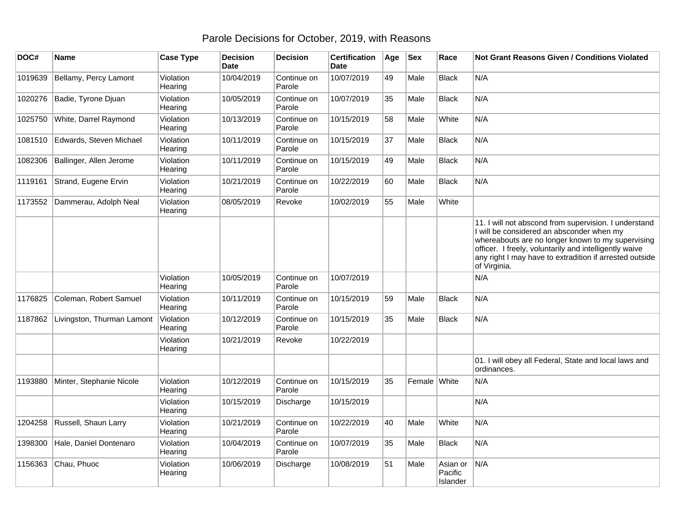## Parole Decisions for October, 2019, with Reasons

| DOC#    | <b>Name</b>                | <b>Case Type</b>     | <b>Decision</b><br><b>Date</b> | <b>Decision</b>       | <b>Certification</b><br>Date | Age | <b>Sex</b>   | Race                            | Not Grant Reasons Given / Conditions Violated                                                                                                                                                                                                                                                |
|---------|----------------------------|----------------------|--------------------------------|-----------------------|------------------------------|-----|--------------|---------------------------------|----------------------------------------------------------------------------------------------------------------------------------------------------------------------------------------------------------------------------------------------------------------------------------------------|
| 1019639 | Bellamy, Percy Lamont      | Violation<br>Hearing | 10/04/2019                     | Continue on<br>Parole | 10/07/2019                   | 49  | Male         | <b>Black</b>                    | N/A                                                                                                                                                                                                                                                                                          |
| 1020276 | Badie, Tyrone Djuan        | Violation<br>Hearing | 10/05/2019                     | Continue on<br>Parole | 10/07/2019                   | 35  | Male         | <b>Black</b>                    | N/A                                                                                                                                                                                                                                                                                          |
| 1025750 | White, Darrel Raymond      | Violation<br>Hearing | 10/13/2019                     | Continue on<br>Parole | 10/15/2019                   | 58  | Male         | White                           | N/A                                                                                                                                                                                                                                                                                          |
| 1081510 | Edwards, Steven Michael    | Violation<br>Hearing | 10/11/2019                     | Continue on<br>Parole | 10/15/2019                   | 37  | Male         | Black                           | N/A                                                                                                                                                                                                                                                                                          |
| 1082306 | Ballinger, Allen Jerome    | Violation<br>Hearing | 10/11/2019                     | Continue on<br>Parole | 10/15/2019                   | 49  | Male         | <b>Black</b>                    | N/A                                                                                                                                                                                                                                                                                          |
| 1119161 | Strand, Eugene Ervin       | Violation<br>Hearing | 10/21/2019                     | Continue on<br>Parole | 10/22/2019                   | 60  | Male         | <b>Black</b>                    | N/A                                                                                                                                                                                                                                                                                          |
| 1173552 | Dammerau, Adolph Neal      | Violation<br>Hearing | 08/05/2019                     | Revoke                | 10/02/2019                   | 55  | Male         | White                           |                                                                                                                                                                                                                                                                                              |
|         |                            |                      |                                |                       |                              |     |              |                                 | 11. I will not abscond from supervision. I understand<br>I will be considered an absconder when my<br>whereabouts are no longer known to my supervising<br>officer. I freely, voluntarily and intelligently waive<br>any right I may have to extradition if arrested outside<br>of Virginia. |
|         |                            | Violation<br>Hearing | 10/05/2019                     | Continue on<br>Parole | 10/07/2019                   |     |              |                                 | N/A                                                                                                                                                                                                                                                                                          |
| 1176825 | Coleman, Robert Samuel     | Violation<br>Hearing | 10/11/2019                     | Continue on<br>Parole | 10/15/2019                   | 59  | Male         | <b>Black</b>                    | N/A                                                                                                                                                                                                                                                                                          |
| 1187862 | Livingston, Thurman Lamont | Violation<br>Hearing | 10/12/2019                     | Continue on<br>Parole | 10/15/2019                   | 35  | Male         | Black                           | N/A                                                                                                                                                                                                                                                                                          |
|         |                            | Violation<br>Hearing | 10/21/2019                     | Revoke                | 10/22/2019                   |     |              |                                 |                                                                                                                                                                                                                                                                                              |
|         |                            |                      |                                |                       |                              |     |              |                                 | 01. I will obey all Federal, State and local laws and<br>ordinances.                                                                                                                                                                                                                         |
| 1193880 | Minter, Stephanie Nicole   | Violation<br>Hearing | 10/12/2019                     | Continue on<br>Parole | 10/15/2019                   | 35  | Female White |                                 | N/A                                                                                                                                                                                                                                                                                          |
|         |                            | Violation<br>Hearing | 10/15/2019                     | Discharge             | 10/15/2019                   |     |              |                                 | N/A                                                                                                                                                                                                                                                                                          |
| 1204258 | Russell, Shaun Larry       | Violation<br>Hearing | 10/21/2019                     | Continue on<br>Parole | 10/22/2019                   | 40  | Male         | White                           | N/A                                                                                                                                                                                                                                                                                          |
| 1398300 | Hale, Daniel Dontenaro     | Violation<br>Hearing | 10/04/2019                     | Continue on<br>Parole | 10/07/2019                   | 35  | Male         | Black                           | N/A                                                                                                                                                                                                                                                                                          |
| 1156363 | Chau, Phuoc                | Violation<br>Hearing | 10/06/2019                     | Discharge             | 10/08/2019                   | 51  | Male         | Asian or<br>Pacific<br>Islander | N/A                                                                                                                                                                                                                                                                                          |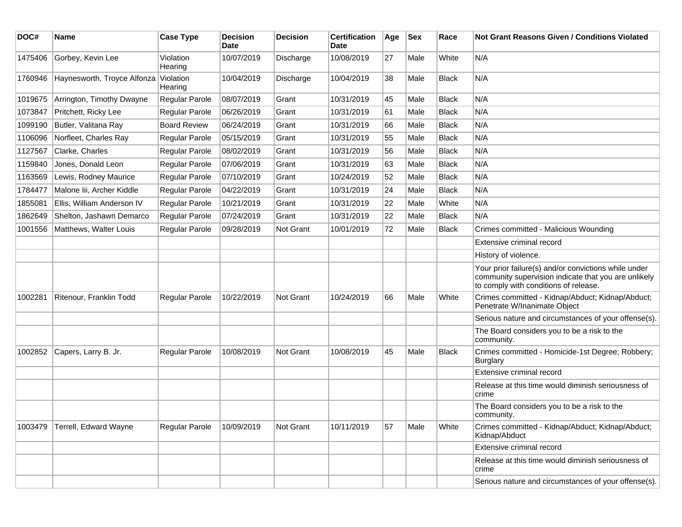| DOC#    | <b>Name</b>                 | <b>Case Type</b>     | <b>Decision</b><br><b>Date</b> | <b>Decision</b> | <b>Certification</b><br>Date | Age | <b>Sex</b> | Race         | <b>Not Grant Reasons Given / Conditions Violated</b>                                                                                                  |
|---------|-----------------------------|----------------------|--------------------------------|-----------------|------------------------------|-----|------------|--------------|-------------------------------------------------------------------------------------------------------------------------------------------------------|
| 1475406 | Gorbey, Kevin Lee           | Violation<br>Hearing | 10/07/2019                     | Discharge       | 10/08/2019                   | 27  | Male       | White        | N/A                                                                                                                                                   |
| 1760946 | Haynesworth, Troyce Alfonza | Violation<br>Hearing | 10/04/2019                     | Discharge       | 10/04/2019                   | 38  | Male       | <b>Black</b> | N/A                                                                                                                                                   |
| 1019675 | Arrington, Timothy Dwayne   | Regular Parole       | 08/07/2019                     | Grant           | 10/31/2019                   | 45  | Male       | <b>Black</b> | N/A                                                                                                                                                   |
| 1073847 | Pritchett, Ricky Lee        | Regular Parole       | 06/26/2019                     | Grant           | 10/31/2019                   | 61  | Male       | <b>Black</b> | N/A                                                                                                                                                   |
| 1099190 | Butler, Valitana Ray        | <b>Board Review</b>  | 06/24/2019                     | Grant           | 10/31/2019                   | 66  | Male       | <b>Black</b> | N/A                                                                                                                                                   |
| 1106096 | Norfleet, Charles Ray       | Regular Parole       | 05/15/2019                     | Grant           | 10/31/2019                   | 55  | Male       | <b>Black</b> | N/A                                                                                                                                                   |
| 1127567 | Clarke, Charles             | Regular Parole       | 08/02/2019                     | Grant           | 10/31/2019                   | 56  | Male       | <b>Black</b> | N/A                                                                                                                                                   |
| 1159840 | Jones, Donald Leon          | Regular Parole       | 07/06/2019                     | Grant           | 10/31/2019                   | 63  | Male       | <b>Black</b> | N/A                                                                                                                                                   |
| 1163569 | Lewis, Rodney Maurice       | Regular Parole       | 07/10/2019                     | Grant           | 10/24/2019                   | 52  | Male       | <b>Black</b> | N/A                                                                                                                                                   |
| 1784477 | Malone Iii, Archer Kiddle   | Regular Parole       | 04/22/2019                     | Grant           | 10/31/2019                   | 24  | Male       | <b>Black</b> | N/A                                                                                                                                                   |
| 1855081 | Ellis, William Anderson IV  | Regular Parole       | 10/21/2019                     | Grant           | 10/31/2019                   | 22  | Male       | White        | N/A                                                                                                                                                   |
| 1862649 | Shelton, Jashawn Demarco    | Regular Parole       | 07/24/2019                     | Grant           | 10/31/2019                   | 22  | Male       | <b>Black</b> | N/A                                                                                                                                                   |
| 1001556 | Matthews, Walter Louis      | Regular Parole       | 09/28/2019                     | Not Grant       | 10/01/2019                   | 72  | Male       | <b>Black</b> | Crimes committed - Malicious Wounding                                                                                                                 |
|         |                             |                      |                                |                 |                              |     |            |              | Extensive criminal record                                                                                                                             |
|         |                             |                      |                                |                 |                              |     |            |              | History of violence.                                                                                                                                  |
|         |                             |                      |                                |                 |                              |     |            |              | Your prior failure(s) and/or convictions while under<br>community supervision indicate that you are unlikely<br>to comply with conditions of release. |
| 1002281 | Ritenour, Franklin Todd     | Regular Parole       | 10/22/2019                     | Not Grant       | 10/24/2019                   | 66  | Male       | White        | Crimes committed - Kidnap/Abduct; Kidnap/Abduct;<br>Penetrate W/Inanimate Object                                                                      |
|         |                             |                      |                                |                 |                              |     |            |              | Serious nature and circumstances of your offense(s).                                                                                                  |
|         |                             |                      |                                |                 |                              |     |            |              | The Board considers you to be a risk to the<br>community.                                                                                             |
| 1002852 | Capers, Larry B. Jr.        | Regular Parole       | 10/08/2019                     | Not Grant       | 10/08/2019                   | 45  | Male       | <b>Black</b> | Crimes committed - Homicide-1st Degree; Robbery;<br><b>Burglary</b>                                                                                   |
|         |                             |                      |                                |                 |                              |     |            |              | Extensive criminal record                                                                                                                             |
|         |                             |                      |                                |                 |                              |     |            |              | Release at this time would diminish seriousness of<br>crime                                                                                           |
|         |                             |                      |                                |                 |                              |     |            |              | The Board considers you to be a risk to the<br>community.                                                                                             |
| 1003479 | Terrell, Edward Wayne       | Regular Parole       | 10/09/2019                     | Not Grant       | 10/11/2019                   | 57  | Male       | White        | Crimes committed - Kidnap/Abduct; Kidnap/Abduct;<br>Kidnap/Abduct                                                                                     |
|         |                             |                      |                                |                 |                              |     |            |              | Extensive criminal record                                                                                                                             |
|         |                             |                      |                                |                 |                              |     |            |              | Release at this time would diminish seriousness of<br>crime                                                                                           |
|         |                             |                      |                                |                 |                              |     |            |              | Serious nature and circumstances of your offense(s).                                                                                                  |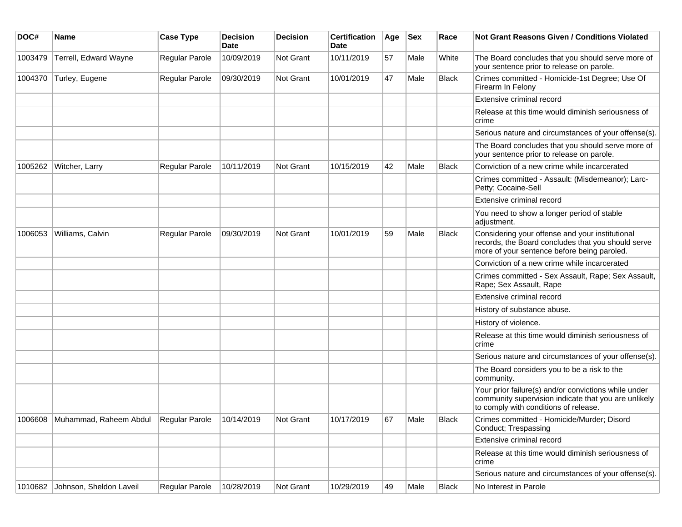| DOC#    | <b>Name</b>                     | <b>Case Type</b>      | <b>Decision</b><br><b>Date</b> | <b>Decision</b> | <b>Certification</b><br>Date | Age | <b>Sex</b> | Race         | <b>Not Grant Reasons Given / Conditions Violated</b>                                                                                                  |
|---------|---------------------------------|-----------------------|--------------------------------|-----------------|------------------------------|-----|------------|--------------|-------------------------------------------------------------------------------------------------------------------------------------------------------|
| 1003479 | Terrell, Edward Wayne           | Regular Parole        | 10/09/2019                     | Not Grant       | 10/11/2019                   | 57  | Male       | White        | The Board concludes that you should serve more of<br>your sentence prior to release on parole.                                                        |
| 1004370 | Turley, Eugene                  | Regular Parole        | 09/30/2019                     | Not Grant       | 10/01/2019                   | 47  | Male       | <b>Black</b> | Crimes committed - Homicide-1st Degree; Use Of<br>Firearm In Felony                                                                                   |
|         |                                 |                       |                                |                 |                              |     |            |              | Extensive criminal record                                                                                                                             |
|         |                                 |                       |                                |                 |                              |     |            |              | Release at this time would diminish seriousness of<br>crime                                                                                           |
|         |                                 |                       |                                |                 |                              |     |            |              | Serious nature and circumstances of your offense(s).                                                                                                  |
|         |                                 |                       |                                |                 |                              |     |            |              | The Board concludes that you should serve more of<br>your sentence prior to release on parole.                                                        |
| 1005262 | Witcher, Larry                  | Regular Parole        | 10/11/2019                     | Not Grant       | 10/15/2019                   | 42  | Male       | <b>Black</b> | Conviction of a new crime while incarcerated                                                                                                          |
|         |                                 |                       |                                |                 |                              |     |            |              | Crimes committed - Assault: (Misdemeanor); Larc-<br>Petty; Cocaine-Sell                                                                               |
|         |                                 |                       |                                |                 |                              |     |            |              | Extensive criminal record                                                                                                                             |
|         |                                 |                       |                                |                 |                              |     |            |              | You need to show a longer period of stable<br>adjustment.                                                                                             |
| 1006053 | Williams, Calvin                | Regular Parole        | 09/30/2019                     | Not Grant       | 10/01/2019                   | 59  | Male       | Black        | Considering your offense and your institutional<br>records, the Board concludes that you should serve<br>more of your sentence before being paroled.  |
|         |                                 |                       |                                |                 |                              |     |            |              | Conviction of a new crime while incarcerated                                                                                                          |
|         |                                 |                       |                                |                 |                              |     |            |              | Crimes committed - Sex Assault, Rape; Sex Assault,<br>Rape; Sex Assault, Rape                                                                         |
|         |                                 |                       |                                |                 |                              |     |            |              | Extensive criminal record                                                                                                                             |
|         |                                 |                       |                                |                 |                              |     |            |              | History of substance abuse.                                                                                                                           |
|         |                                 |                       |                                |                 |                              |     |            |              | History of violence.                                                                                                                                  |
|         |                                 |                       |                                |                 |                              |     |            |              | Release at this time would diminish seriousness of<br>crime                                                                                           |
|         |                                 |                       |                                |                 |                              |     |            |              | Serious nature and circumstances of your offense(s).                                                                                                  |
|         |                                 |                       |                                |                 |                              |     |            |              | The Board considers you to be a risk to the<br>community.                                                                                             |
|         |                                 |                       |                                |                 |                              |     |            |              | Your prior failure(s) and/or convictions while under<br>community supervision indicate that you are unlikely<br>to comply with conditions of release. |
| 1006608 | Muhammad, Raheem Abdul          | Regular Parole        | 10/14/2019                     | Not Grant       | 10/17/2019                   | 67  | Male       | <b>Black</b> | Crimes committed - Homicide/Murder; Disord<br>Conduct; Trespassing                                                                                    |
|         |                                 |                       |                                |                 |                              |     |            |              | Extensive criminal record                                                                                                                             |
|         |                                 |                       |                                |                 |                              |     |            |              | Release at this time would diminish seriousness of<br>crime                                                                                           |
|         |                                 |                       |                                |                 |                              |     |            |              | Serious nature and circumstances of your offense(s).                                                                                                  |
|         | 1010682 Johnson, Sheldon Laveil | <b>Regular Parole</b> | 10/28/2019                     | Not Grant       | 10/29/2019                   | 49  | Male       | Black        | No Interest in Parole                                                                                                                                 |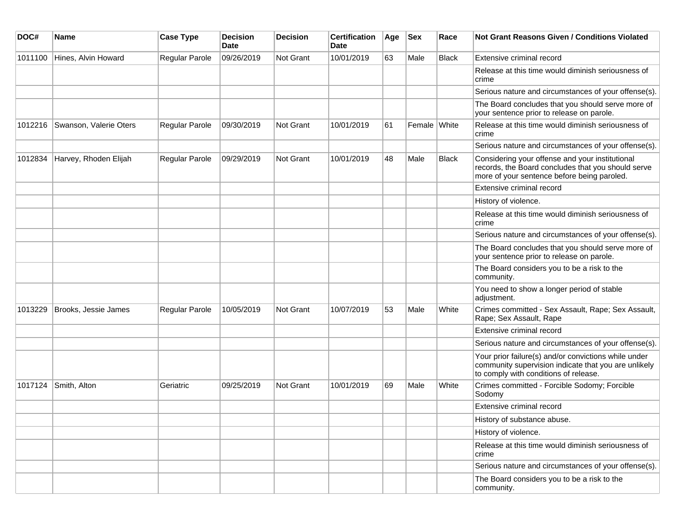| DOC#    | <b>Name</b>            | <b>Case Type</b>      | <b>Decision</b><br><b>Date</b> | <b>Decision</b> | <b>Certification</b><br>Date | Age | <b>Sex</b>   | Race         | <b>Not Grant Reasons Given / Conditions Violated</b>                                                                                                  |
|---------|------------------------|-----------------------|--------------------------------|-----------------|------------------------------|-----|--------------|--------------|-------------------------------------------------------------------------------------------------------------------------------------------------------|
| 1011100 | Hines, Alvin Howard    | Regular Parole        | 09/26/2019                     | Not Grant       | 10/01/2019                   | 63  | Male         | Black        | Extensive criminal record                                                                                                                             |
|         |                        |                       |                                |                 |                              |     |              |              | Release at this time would diminish seriousness of<br>crime                                                                                           |
|         |                        |                       |                                |                 |                              |     |              |              | Serious nature and circumstances of your offense(s).                                                                                                  |
|         |                        |                       |                                |                 |                              |     |              |              | The Board concludes that you should serve more of<br>your sentence prior to release on parole.                                                        |
| 1012216 | Swanson, Valerie Oters | <b>Regular Parole</b> | 09/30/2019                     | Not Grant       | 10/01/2019                   | 61  | Female White |              | Release at this time would diminish seriousness of<br>crime                                                                                           |
|         |                        |                       |                                |                 |                              |     |              |              | Serious nature and circumstances of your offense(s).                                                                                                  |
| 1012834 | Harvey, Rhoden Elijah  | Regular Parole        | 09/29/2019                     | Not Grant       | 10/01/2019                   | 48  | Male         | <b>Black</b> | Considering your offense and your institutional<br>records, the Board concludes that you should serve<br>more of your sentence before being paroled.  |
|         |                        |                       |                                |                 |                              |     |              |              | Extensive criminal record                                                                                                                             |
|         |                        |                       |                                |                 |                              |     |              |              | History of violence.                                                                                                                                  |
|         |                        |                       |                                |                 |                              |     |              |              | Release at this time would diminish seriousness of<br>crime                                                                                           |
|         |                        |                       |                                |                 |                              |     |              |              | Serious nature and circumstances of your offense(s).                                                                                                  |
|         |                        |                       |                                |                 |                              |     |              |              | The Board concludes that you should serve more of<br>your sentence prior to release on parole.                                                        |
|         |                        |                       |                                |                 |                              |     |              |              | The Board considers you to be a risk to the<br>community.                                                                                             |
|         |                        |                       |                                |                 |                              |     |              |              | You need to show a longer period of stable<br>adjustment.                                                                                             |
| 1013229 | Brooks, Jessie James   | Regular Parole        | 10/05/2019                     | Not Grant       | 10/07/2019                   | 53  | Male         | White        | Crimes committed - Sex Assault, Rape; Sex Assault,<br>Rape; Sex Assault, Rape                                                                         |
|         |                        |                       |                                |                 |                              |     |              |              | Extensive criminal record                                                                                                                             |
|         |                        |                       |                                |                 |                              |     |              |              | Serious nature and circumstances of your offense(s).                                                                                                  |
|         |                        |                       |                                |                 |                              |     |              |              | Your prior failure(s) and/or convictions while under<br>community supervision indicate that you are unlikely<br>to comply with conditions of release. |
| 1017124 | Smith, Alton           | Geriatric             | 09/25/2019                     | Not Grant       | 10/01/2019                   | 69  | Male         | White        | Crimes committed - Forcible Sodomy; Forcible<br>Sodomy                                                                                                |
|         |                        |                       |                                |                 |                              |     |              |              | Extensive criminal record                                                                                                                             |
|         |                        |                       |                                |                 |                              |     |              |              | History of substance abuse.                                                                                                                           |
|         |                        |                       |                                |                 |                              |     |              |              | History of violence.                                                                                                                                  |
|         |                        |                       |                                |                 |                              |     |              |              | Release at this time would diminish seriousness of<br>crime                                                                                           |
|         |                        |                       |                                |                 |                              |     |              |              | Serious nature and circumstances of your offense(s).                                                                                                  |
|         |                        |                       |                                |                 |                              |     |              |              | The Board considers you to be a risk to the<br>community.                                                                                             |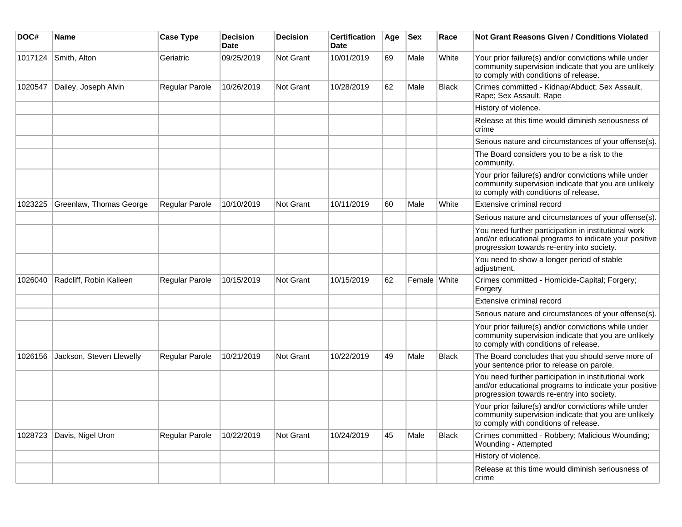| DOC#    | <b>Name</b>              | <b>Case Type</b> | <b>Decision</b><br><b>Date</b> | <b>Decision</b> | <b>Certification</b><br>Date | Age | <b>Sex</b>   | Race         | Not Grant Reasons Given / Conditions Violated                                                                                                               |
|---------|--------------------------|------------------|--------------------------------|-----------------|------------------------------|-----|--------------|--------------|-------------------------------------------------------------------------------------------------------------------------------------------------------------|
| 1017124 | Smith, Alton             | Geriatric        | 09/25/2019                     | Not Grant       | 10/01/2019                   | 69  | Male         | White        | Your prior failure(s) and/or convictions while under<br>community supervision indicate that you are unlikely<br>to comply with conditions of release.       |
| 1020547 | Dailey, Joseph Alvin     | Regular Parole   | 10/26/2019                     | Not Grant       | 10/28/2019                   | 62  | Male         | Black        | Crimes committed - Kidnap/Abduct; Sex Assault,<br>Rape; Sex Assault, Rape                                                                                   |
|         |                          |                  |                                |                 |                              |     |              |              | History of violence.                                                                                                                                        |
|         |                          |                  |                                |                 |                              |     |              |              | Release at this time would diminish seriousness of<br>crime                                                                                                 |
|         |                          |                  |                                |                 |                              |     |              |              | Serious nature and circumstances of your offense(s).                                                                                                        |
|         |                          |                  |                                |                 |                              |     |              |              | The Board considers you to be a risk to the<br>community.                                                                                                   |
|         |                          |                  |                                |                 |                              |     |              |              | Your prior failure(s) and/or convictions while under<br>community supervision indicate that you are unlikely<br>to comply with conditions of release.       |
| 1023225 | Greenlaw, Thomas George  | Regular Parole   | 10/10/2019                     | Not Grant       | 10/11/2019                   | 60  | Male         | White        | Extensive criminal record                                                                                                                                   |
|         |                          |                  |                                |                 |                              |     |              |              | Serious nature and circumstances of your offense(s).                                                                                                        |
|         |                          |                  |                                |                 |                              |     |              |              | You need further participation in institutional work<br>and/or educational programs to indicate your positive<br>progression towards re-entry into society. |
|         |                          |                  |                                |                 |                              |     |              |              | You need to show a longer period of stable<br>adjustment.                                                                                                   |
| 1026040 | Radcliff, Robin Kalleen  | Regular Parole   | 10/15/2019                     | Not Grant       | 10/15/2019                   | 62  | Female White |              | Crimes committed - Homicide-Capital; Forgery;<br>Forgery                                                                                                    |
|         |                          |                  |                                |                 |                              |     |              |              | Extensive criminal record                                                                                                                                   |
|         |                          |                  |                                |                 |                              |     |              |              | Serious nature and circumstances of your offense(s).                                                                                                        |
|         |                          |                  |                                |                 |                              |     |              |              | Your prior failure(s) and/or convictions while under<br>community supervision indicate that you are unlikely<br>to comply with conditions of release.       |
| 1026156 | Jackson, Steven Llewelly | Regular Parole   | 10/21/2019                     | Not Grant       | 10/22/2019                   | 49  | Male         | Black        | The Board concludes that you should serve more of<br>your sentence prior to release on parole.                                                              |
|         |                          |                  |                                |                 |                              |     |              |              | You need further participation in institutional work<br>and/or educational programs to indicate your positive<br>progression towards re-entry into society. |
|         |                          |                  |                                |                 |                              |     |              |              | Your prior failure(s) and/or convictions while under<br>community supervision indicate that you are unlikely<br>to comply with conditions of release.       |
| 1028723 | Davis, Nigel Uron        | Regular Parole   | 10/22/2019                     | Not Grant       | 10/24/2019                   | 45  | Male         | <b>Black</b> | Crimes committed - Robbery; Malicious Wounding;<br>Wounding - Attempted                                                                                     |
|         |                          |                  |                                |                 |                              |     |              |              | History of violence.                                                                                                                                        |
|         |                          |                  |                                |                 |                              |     |              |              | Release at this time would diminish seriousness of<br>crime                                                                                                 |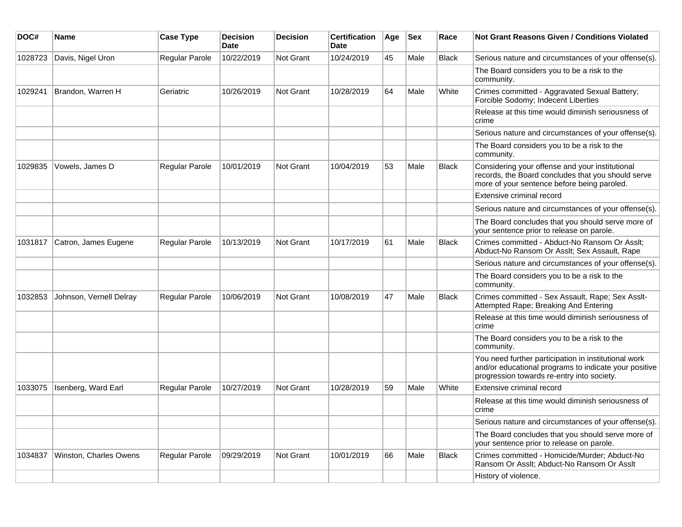| DOC#    | <b>Name</b>             | <b>Case Type</b>      | <b>Decision</b><br><b>Date</b> | <b>Decision</b> | <b>Certification</b><br>Date | Age | <b>Sex</b> | Race         | Not Grant Reasons Given / Conditions Violated                                                                                                               |
|---------|-------------------------|-----------------------|--------------------------------|-----------------|------------------------------|-----|------------|--------------|-------------------------------------------------------------------------------------------------------------------------------------------------------------|
| 1028723 | Davis, Nigel Uron       | Regular Parole        | 10/22/2019                     | Not Grant       | 10/24/2019                   | 45  | Male       | Black        | Serious nature and circumstances of your offense(s).                                                                                                        |
|         |                         |                       |                                |                 |                              |     |            |              | The Board considers you to be a risk to the<br>community.                                                                                                   |
| 1029241 | Brandon, Warren H       | Geriatric             | 10/26/2019                     | Not Grant       | 10/28/2019                   | 64  | Male       | White        | Crimes committed - Aggravated Sexual Battery;<br>Forcible Sodomy; Indecent Liberties                                                                        |
|         |                         |                       |                                |                 |                              |     |            |              | Release at this time would diminish seriousness of<br>crime                                                                                                 |
|         |                         |                       |                                |                 |                              |     |            |              | Serious nature and circumstances of your offense(s).                                                                                                        |
|         |                         |                       |                                |                 |                              |     |            |              | The Board considers you to be a risk to the<br>community.                                                                                                   |
| 1029835 | Vowels, James D         | Regular Parole        | 10/01/2019                     | Not Grant       | 10/04/2019                   | 53  | Male       | Black        | Considering your offense and your institutional<br>records, the Board concludes that you should serve<br>more of your sentence before being paroled.        |
|         |                         |                       |                                |                 |                              |     |            |              | Extensive criminal record                                                                                                                                   |
|         |                         |                       |                                |                 |                              |     |            |              | Serious nature and circumstances of your offense(s).                                                                                                        |
|         |                         |                       |                                |                 |                              |     |            |              | The Board concludes that you should serve more of<br>your sentence prior to release on parole.                                                              |
| 1031817 | Catron, James Eugene    | Regular Parole        | 10/13/2019                     | Not Grant       | 10/17/2019                   | 61  | Male       | Black        | Crimes committed - Abduct-No Ransom Or Asslt;<br>Abduct-No Ransom Or Asslt; Sex Assault, Rape                                                               |
|         |                         |                       |                                |                 |                              |     |            |              | Serious nature and circumstances of your offense(s).                                                                                                        |
|         |                         |                       |                                |                 |                              |     |            |              | The Board considers you to be a risk to the<br>community.                                                                                                   |
| 1032853 | Johnson, Vernell Delray | Regular Parole        | 10/06/2019                     | Not Grant       | 10/08/2019                   | 47  | Male       | <b>Black</b> | Crimes committed - Sex Assault, Rape; Sex Asslt-<br>Attempted Rape; Breaking And Entering                                                                   |
|         |                         |                       |                                |                 |                              |     |            |              | Release at this time would diminish seriousness of<br>crime                                                                                                 |
|         |                         |                       |                                |                 |                              |     |            |              | The Board considers you to be a risk to the<br>community.                                                                                                   |
|         |                         |                       |                                |                 |                              |     |            |              | You need further participation in institutional work<br>and/or educational programs to indicate your positive<br>progression towards re-entry into society. |
| 1033075 | Isenberg, Ward Earl     | <b>Regular Parole</b> | 10/27/2019                     | Not Grant       | 10/28/2019                   | 59  | Male       | White        | Extensive criminal record                                                                                                                                   |
|         |                         |                       |                                |                 |                              |     |            |              | Release at this time would diminish seriousness of<br>crime                                                                                                 |
|         |                         |                       |                                |                 |                              |     |            |              | Serious nature and circumstances of your offense(s).                                                                                                        |
|         |                         |                       |                                |                 |                              |     |            |              | The Board concludes that you should serve more of<br>your sentence prior to release on parole.                                                              |
| 1034837 | Winston, Charles Owens  | Regular Parole        | 09/29/2019                     | Not Grant       | 10/01/2019                   | 66  | Male       | <b>Black</b> | Crimes committed - Homicide/Murder; Abduct-No<br>Ransom Or Asslt; Abduct-No Ransom Or Asslt                                                                 |
|         |                         |                       |                                |                 |                              |     |            |              | History of violence.                                                                                                                                        |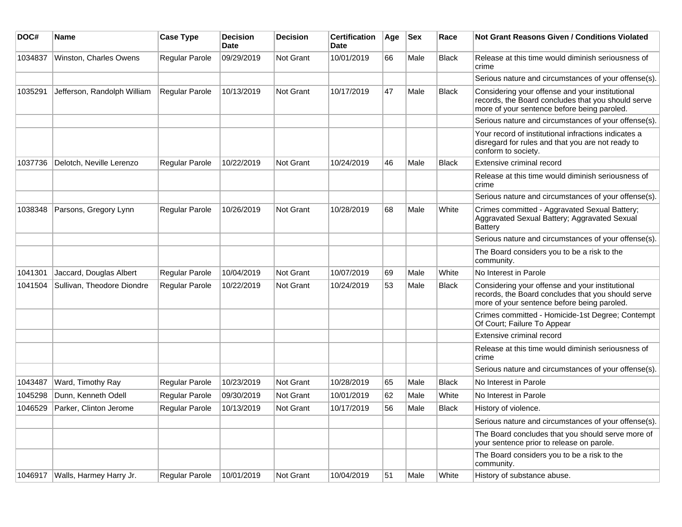| DOC#    | Name                        | <b>Case Type</b>      | <b>Decision</b><br><b>Date</b> | <b>Decision</b>  | <b>Certification</b><br>Date | Age | <b>Sex</b> | Race         | Not Grant Reasons Given / Conditions Violated                                                                                                        |
|---------|-----------------------------|-----------------------|--------------------------------|------------------|------------------------------|-----|------------|--------------|------------------------------------------------------------------------------------------------------------------------------------------------------|
| 1034837 | Winston, Charles Owens      | Regular Parole        | 09/29/2019                     | Not Grant        | 10/01/2019                   | 66  | Male       | Black        | Release at this time would diminish seriousness of<br>crime                                                                                          |
|         |                             |                       |                                |                  |                              |     |            |              | Serious nature and circumstances of your offense(s).                                                                                                 |
| 1035291 | Jefferson, Randolph William | Regular Parole        | 10/13/2019                     | Not Grant        | 10/17/2019                   | 47  | Male       | <b>Black</b> | Considering your offense and your institutional<br>records, the Board concludes that you should serve<br>more of your sentence before being paroled. |
|         |                             |                       |                                |                  |                              |     |            |              | Serious nature and circumstances of your offense(s).                                                                                                 |
|         |                             |                       |                                |                  |                              |     |            |              | Your record of institutional infractions indicates a<br>disregard for rules and that you are not ready to<br>conform to society.                     |
| 1037736 | Delotch, Neville Lerenzo    | Regular Parole        | 10/22/2019                     | Not Grant        | 10/24/2019                   | 46  | Male       | <b>Black</b> | Extensive criminal record                                                                                                                            |
|         |                             |                       |                                |                  |                              |     |            |              | Release at this time would diminish seriousness of<br>crime                                                                                          |
|         |                             |                       |                                |                  |                              |     |            |              | Serious nature and circumstances of your offense(s).                                                                                                 |
| 1038348 | Parsons, Gregory Lynn       | Regular Parole        | 10/26/2019                     | Not Grant        | 10/28/2019                   | 68  | Male       | White        | Crimes committed - Aggravated Sexual Battery;<br>Aggravated Sexual Battery; Aggravated Sexual<br><b>Battery</b>                                      |
|         |                             |                       |                                |                  |                              |     |            |              | Serious nature and circumstances of your offense(s).                                                                                                 |
|         |                             |                       |                                |                  |                              |     |            |              | The Board considers you to be a risk to the<br>community.                                                                                            |
| 1041301 | Jaccard, Douglas Albert     | Regular Parole        | 10/04/2019                     | Not Grant        | 10/07/2019                   | 69  | Male       | White        | No Interest in Parole                                                                                                                                |
| 1041504 | Sullivan, Theodore Diondre  | Regular Parole        | 10/22/2019                     | <b>Not Grant</b> | 10/24/2019                   | 53  | Male       | <b>Black</b> | Considering your offense and your institutional<br>records, the Board concludes that you should serve<br>more of your sentence before being paroled. |
|         |                             |                       |                                |                  |                              |     |            |              | Crimes committed - Homicide-1st Degree; Contempt<br>Of Court; Failure To Appear                                                                      |
|         |                             |                       |                                |                  |                              |     |            |              | Extensive criminal record                                                                                                                            |
|         |                             |                       |                                |                  |                              |     |            |              | Release at this time would diminish seriousness of<br>crime                                                                                          |
|         |                             |                       |                                |                  |                              |     |            |              | Serious nature and circumstances of your offense(s).                                                                                                 |
| 1043487 | Ward, Timothy Ray           | Regular Parole        | 10/23/2019                     | Not Grant        | 10/28/2019                   | 65  | Male       | <b>Black</b> | No Interest in Parole                                                                                                                                |
| 1045298 | Dunn, Kenneth Odell         | Regular Parole        | 09/30/2019                     | Not Grant        | 10/01/2019                   | 62  | Male       | White        | No Interest in Parole                                                                                                                                |
| 1046529 | Parker, Clinton Jerome      | <b>Regular Parole</b> | 10/13/2019                     | <b>Not Grant</b> | 10/17/2019                   | 56  | Male       | <b>Black</b> | History of violence.                                                                                                                                 |
|         |                             |                       |                                |                  |                              |     |            |              | Serious nature and circumstances of your offense(s).                                                                                                 |
|         |                             |                       |                                |                  |                              |     |            |              | The Board concludes that you should serve more of<br>your sentence prior to release on parole.                                                       |
|         |                             |                       |                                |                  |                              |     |            |              | The Board considers you to be a risk to the<br>community.                                                                                            |
| 1046917 | Walls, Harmey Harry Jr.     | Regular Parole        | 10/01/2019                     | Not Grant        | 10/04/2019                   | 51  | Male       | White        | History of substance abuse.                                                                                                                          |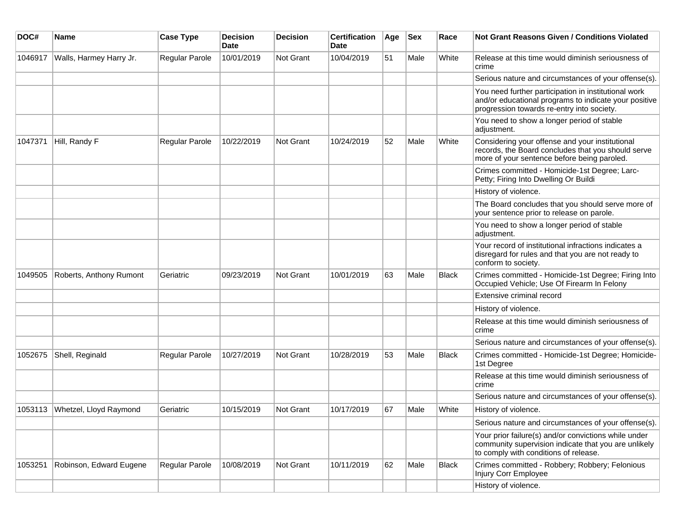| DOC#    | <b>Name</b>                    | <b>Case Type</b> | <b>Decision</b><br><b>Date</b> | <b>Decision</b> | <b>Certification</b><br><b>Date</b> | Age | <b>Sex</b> | Race         | <b>Not Grant Reasons Given / Conditions Violated</b>                                                                                                        |
|---------|--------------------------------|------------------|--------------------------------|-----------------|-------------------------------------|-----|------------|--------------|-------------------------------------------------------------------------------------------------------------------------------------------------------------|
| 1046917 | Walls, Harmey Harry Jr.        | Regular Parole   | 10/01/2019                     | Not Grant       | 10/04/2019                          | 51  | Male       | White        | Release at this time would diminish seriousness of<br>crime                                                                                                 |
|         |                                |                  |                                |                 |                                     |     |            |              | Serious nature and circumstances of your offense(s).                                                                                                        |
|         |                                |                  |                                |                 |                                     |     |            |              | You need further participation in institutional work<br>and/or educational programs to indicate your positive<br>progression towards re-entry into society. |
|         |                                |                  |                                |                 |                                     |     |            |              | You need to show a longer period of stable<br>adjustment.                                                                                                   |
| 1047371 | Hill, Randy F                  | Regular Parole   | 10/22/2019                     | Not Grant       | 10/24/2019                          | 52  | Male       | White        | Considering your offense and your institutional<br>records, the Board concludes that you should serve<br>more of your sentence before being paroled.        |
|         |                                |                  |                                |                 |                                     |     |            |              | Crimes committed - Homicide-1st Degree; Larc-<br>Petty; Firing Into Dwelling Or Buildi                                                                      |
|         |                                |                  |                                |                 |                                     |     |            |              | History of violence.                                                                                                                                        |
|         |                                |                  |                                |                 |                                     |     |            |              | The Board concludes that you should serve more of<br>your sentence prior to release on parole.                                                              |
|         |                                |                  |                                |                 |                                     |     |            |              | You need to show a longer period of stable<br>adjustment.                                                                                                   |
|         |                                |                  |                                |                 |                                     |     |            |              | Your record of institutional infractions indicates a<br>disregard for rules and that you are not ready to<br>conform to society.                            |
| 1049505 | Roberts, Anthony Rumont        | Geriatric        | 09/23/2019                     | Not Grant       | 10/01/2019                          | 63  | Male       | <b>Black</b> | Crimes committed - Homicide-1st Degree; Firing Into<br>Occupied Vehicle; Use Of Firearm In Felony                                                           |
|         |                                |                  |                                |                 |                                     |     |            |              | Extensive criminal record                                                                                                                                   |
|         |                                |                  |                                |                 |                                     |     |            |              | History of violence.                                                                                                                                        |
|         |                                |                  |                                |                 |                                     |     |            |              | Release at this time would diminish seriousness of<br>crime                                                                                                 |
|         |                                |                  |                                |                 |                                     |     |            |              | Serious nature and circumstances of your offense(s).                                                                                                        |
| 1052675 | Shell, Reginald                | Regular Parole   | 10/27/2019                     | Not Grant       | 10/28/2019                          | 53  | Male       | <b>Black</b> | Crimes committed - Homicide-1st Degree; Homicide-<br>1st Degree                                                                                             |
|         |                                |                  |                                |                 |                                     |     |            |              | Release at this time would diminish seriousness of<br>crime                                                                                                 |
|         |                                |                  |                                |                 |                                     |     |            |              | Serious nature and circumstances of your offense(s).                                                                                                        |
|         | 1053113 Whetzel, Lloyd Raymond | Geriatric        | 10/15/2019                     | Not Grant       | 10/17/2019                          | 67  | Male       | White        | History of violence.                                                                                                                                        |
|         |                                |                  |                                |                 |                                     |     |            |              | Serious nature and circumstances of your offense(s).                                                                                                        |
|         |                                |                  |                                |                 |                                     |     |            |              | Your prior failure(s) and/or convictions while under<br>community supervision indicate that you are unlikely<br>to comply with conditions of release.       |
| 1053251 | Robinson, Edward Eugene        | Regular Parole   | 10/08/2019                     | Not Grant       | 10/11/2019                          | 62  | Male       | <b>Black</b> | Crimes committed - Robbery; Robbery; Felonious<br>Injury Corr Employee                                                                                      |
|         |                                |                  |                                |                 |                                     |     |            |              | History of violence.                                                                                                                                        |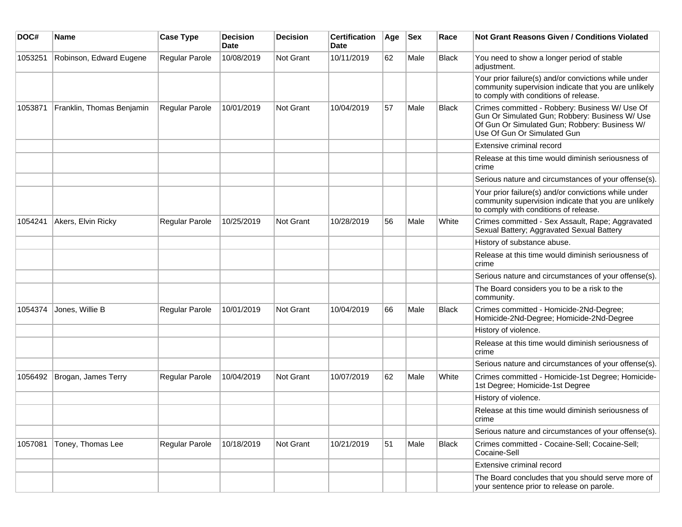| DOC#    | <b>Name</b>               | <b>Case Type</b> | <b>Decision</b><br><b>Date</b> | <b>Decision</b> | <b>Certification</b><br>Date | Age | <b>Sex</b> | Race         | <b>Not Grant Reasons Given / Conditions Violated</b>                                                                                                                             |
|---------|---------------------------|------------------|--------------------------------|-----------------|------------------------------|-----|------------|--------------|----------------------------------------------------------------------------------------------------------------------------------------------------------------------------------|
| 1053251 | Robinson, Edward Eugene   | Regular Parole   | 10/08/2019                     | Not Grant       | 10/11/2019                   | 62  | Male       | Black        | You need to show a longer period of stable<br>adjustment.                                                                                                                        |
|         |                           |                  |                                |                 |                              |     |            |              | Your prior failure(s) and/or convictions while under<br>community supervision indicate that you are unlikely<br>to comply with conditions of release.                            |
| 1053871 | Franklin, Thomas Benjamin | Regular Parole   | 10/01/2019                     | Not Grant       | 10/04/2019                   | 57  | Male       | <b>Black</b> | Crimes committed - Robbery: Business W/ Use Of<br>Gun Or Simulated Gun; Robbery: Business W/ Use<br>Of Gun Or Simulated Gun; Robbery: Business W/<br>Use Of Gun Or Simulated Gun |
|         |                           |                  |                                |                 |                              |     |            |              | Extensive criminal record                                                                                                                                                        |
|         |                           |                  |                                |                 |                              |     |            |              | Release at this time would diminish seriousness of<br>crime                                                                                                                      |
|         |                           |                  |                                |                 |                              |     |            |              | Serious nature and circumstances of your offense(s).                                                                                                                             |
|         |                           |                  |                                |                 |                              |     |            |              | Your prior failure(s) and/or convictions while under<br>community supervision indicate that you are unlikely<br>to comply with conditions of release.                            |
| 1054241 | Akers, Elvin Ricky        | Regular Parole   | 10/25/2019                     | Not Grant       | 10/28/2019                   | 56  | Male       | White        | Crimes committed - Sex Assault, Rape; Aggravated<br>Sexual Battery; Aggravated Sexual Battery                                                                                    |
|         |                           |                  |                                |                 |                              |     |            |              | History of substance abuse.                                                                                                                                                      |
|         |                           |                  |                                |                 |                              |     |            |              | Release at this time would diminish seriousness of<br>crime                                                                                                                      |
|         |                           |                  |                                |                 |                              |     |            |              | Serious nature and circumstances of your offense(s).                                                                                                                             |
|         |                           |                  |                                |                 |                              |     |            |              | The Board considers you to be a risk to the<br>community.                                                                                                                        |
| 1054374 | Jones, Willie B           | Regular Parole   | 10/01/2019                     | Not Grant       | 10/04/2019                   | 66  | Male       | Black        | Crimes committed - Homicide-2Nd-Degree;<br>Homicide-2Nd-Degree; Homicide-2Nd-Degree                                                                                              |
|         |                           |                  |                                |                 |                              |     |            |              | History of violence.                                                                                                                                                             |
|         |                           |                  |                                |                 |                              |     |            |              | Release at this time would diminish seriousness of<br>crime                                                                                                                      |
|         |                           |                  |                                |                 |                              |     |            |              | Serious nature and circumstances of your offense(s).                                                                                                                             |
| 1056492 | Brogan, James Terry       | Regular Parole   | 10/04/2019                     | Not Grant       | 10/07/2019                   | 62  | Male       | White        | Crimes committed - Homicide-1st Degree; Homicide-<br>1st Degree; Homicide-1st Degree                                                                                             |
|         |                           |                  |                                |                 |                              |     |            |              | History of violence.                                                                                                                                                             |
|         |                           |                  |                                |                 |                              |     |            |              | Release at this time would diminish seriousness of<br>crime                                                                                                                      |
|         |                           |                  |                                |                 |                              |     |            |              | Serious nature and circumstances of your offense(s).                                                                                                                             |
| 1057081 | Toney, Thomas Lee         | Regular Parole   | 10/18/2019                     | Not Grant       | 10/21/2019                   | 51  | Male       | Black        | Crimes committed - Cocaine-Sell; Cocaine-Sell;<br>Cocaine-Sell                                                                                                                   |
|         |                           |                  |                                |                 |                              |     |            |              | Extensive criminal record                                                                                                                                                        |
|         |                           |                  |                                |                 |                              |     |            |              | The Board concludes that you should serve more of<br>your sentence prior to release on parole.                                                                                   |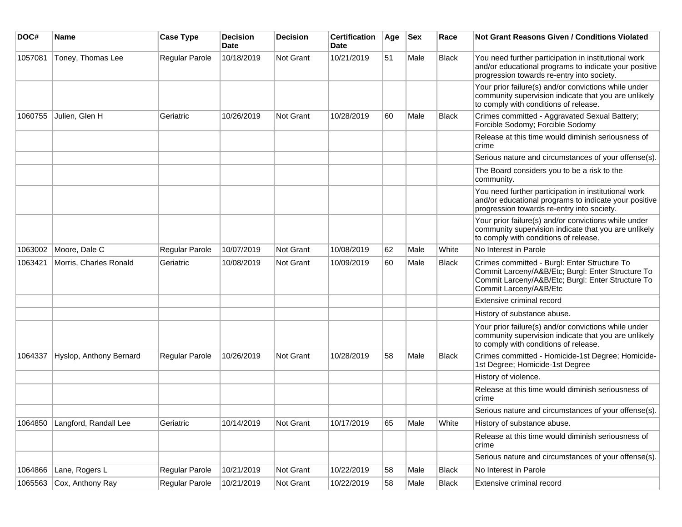| DOC#    | <b>Name</b>             | <b>Case Type</b> | <b>Decision</b><br><b>Date</b> | <b>Decision</b> | <b>Certification</b><br>Date | Age | <b>Sex</b> | Race         | <b>Not Grant Reasons Given / Conditions Violated</b>                                                                                                                             |
|---------|-------------------------|------------------|--------------------------------|-----------------|------------------------------|-----|------------|--------------|----------------------------------------------------------------------------------------------------------------------------------------------------------------------------------|
| 1057081 | Toney, Thomas Lee       | Regular Parole   | 10/18/2019                     | Not Grant       | 10/21/2019                   | 51  | Male       | Black        | You need further participation in institutional work<br>and/or educational programs to indicate your positive<br>progression towards re-entry into society.                      |
|         |                         |                  |                                |                 |                              |     |            |              | Your prior failure(s) and/or convictions while under<br>community supervision indicate that you are unlikely<br>to comply with conditions of release.                            |
| 1060755 | Julien, Glen H          | Geriatric        | 10/26/2019                     | Not Grant       | 10/28/2019                   | 60  | Male       | <b>Black</b> | Crimes committed - Aggravated Sexual Battery;<br>Forcible Sodomy; Forcible Sodomy                                                                                                |
|         |                         |                  |                                |                 |                              |     |            |              | Release at this time would diminish seriousness of<br>crime                                                                                                                      |
|         |                         |                  |                                |                 |                              |     |            |              | Serious nature and circumstances of your offense(s).                                                                                                                             |
|         |                         |                  |                                |                 |                              |     |            |              | The Board considers you to be a risk to the<br>community.                                                                                                                        |
|         |                         |                  |                                |                 |                              |     |            |              | You need further participation in institutional work<br>and/or educational programs to indicate your positive<br>progression towards re-entry into society.                      |
|         |                         |                  |                                |                 |                              |     |            |              | Your prior failure(s) and/or convictions while under<br>community supervision indicate that you are unlikely<br>to comply with conditions of release.                            |
| 1063002 | Moore, Dale C           | Regular Parole   | 10/07/2019                     | Not Grant       | 10/08/2019                   | 62  | Male       | White        | No Interest in Parole                                                                                                                                                            |
| 1063421 | Morris, Charles Ronald  | Geriatric        | 10/08/2019                     | Not Grant       | 10/09/2019                   | 60  | Male       | <b>Black</b> | Crimes committed - Burgl: Enter Structure To<br>Commit Larceny/A&B/Etc; Burgl: Enter Structure To<br>Commit Larceny/A&B/Etc; Burgl: Enter Structure To<br>Commit Larceny/A&B/Etc |
|         |                         |                  |                                |                 |                              |     |            |              | Extensive criminal record                                                                                                                                                        |
|         |                         |                  |                                |                 |                              |     |            |              | History of substance abuse.                                                                                                                                                      |
|         |                         |                  |                                |                 |                              |     |            |              | Your prior failure(s) and/or convictions while under<br>community supervision indicate that you are unlikely<br>to comply with conditions of release.                            |
| 1064337 | Hyslop, Anthony Bernard | Regular Parole   | 10/26/2019                     | Not Grant       | 10/28/2019                   | 58  | Male       | <b>Black</b> | Crimes committed - Homicide-1st Degree; Homicide-<br>1st Degree; Homicide-1st Degree                                                                                             |
|         |                         |                  |                                |                 |                              |     |            |              | History of violence.                                                                                                                                                             |
|         |                         |                  |                                |                 |                              |     |            |              | Release at this time would diminish seriousness of<br>crime                                                                                                                      |
|         |                         |                  |                                |                 |                              |     |            |              | Serious nature and circumstances of your offense(s).                                                                                                                             |
| 1064850 | Langford, Randall Lee   | Geriatric        | 10/14/2019                     | Not Grant       | 10/17/2019                   | 65  | Male       | White        | History of substance abuse.                                                                                                                                                      |
|         |                         |                  |                                |                 |                              |     |            |              | Release at this time would diminish seriousness of<br>crime                                                                                                                      |
|         |                         |                  |                                |                 |                              |     |            |              | Serious nature and circumstances of your offense(s).                                                                                                                             |
| 1064866 | Lane, Rogers L          | Regular Parole   | 10/21/2019                     | Not Grant       | 10/22/2019                   | 58  | Male       | <b>Black</b> | No Interest in Parole                                                                                                                                                            |
| 1065563 | Cox, Anthony Ray        | Regular Parole   | 10/21/2019                     | Not Grant       | 10/22/2019                   | 58  | Male       | <b>Black</b> | Extensive criminal record                                                                                                                                                        |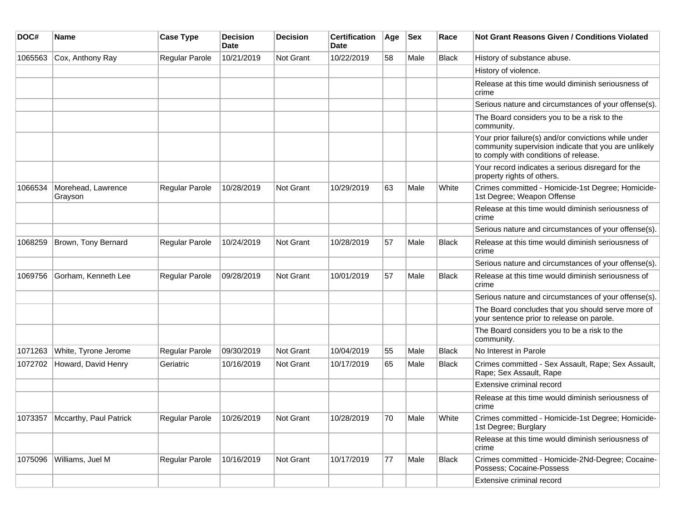| DOC#    | Name                           | <b>Case Type</b>      | <b>Decision</b><br>Date | <b>Decision</b> | <b>Certification</b><br>Date | Age | <b>Sex</b> | Race         | <b>Not Grant Reasons Given / Conditions Violated</b>                                                                                                  |
|---------|--------------------------------|-----------------------|-------------------------|-----------------|------------------------------|-----|------------|--------------|-------------------------------------------------------------------------------------------------------------------------------------------------------|
| 1065563 | Cox, Anthony Ray               | Regular Parole        | 10/21/2019              | Not Grant       | 10/22/2019                   | 58  | Male       | Black        | History of substance abuse.                                                                                                                           |
|         |                                |                       |                         |                 |                              |     |            |              | History of violence.                                                                                                                                  |
|         |                                |                       |                         |                 |                              |     |            |              | Release at this time would diminish seriousness of<br>crime                                                                                           |
|         |                                |                       |                         |                 |                              |     |            |              | Serious nature and circumstances of your offense(s).                                                                                                  |
|         |                                |                       |                         |                 |                              |     |            |              | The Board considers you to be a risk to the<br>community.                                                                                             |
|         |                                |                       |                         |                 |                              |     |            |              | Your prior failure(s) and/or convictions while under<br>community supervision indicate that you are unlikely<br>to comply with conditions of release. |
|         |                                |                       |                         |                 |                              |     |            |              | Your record indicates a serious disregard for the<br>property rights of others.                                                                       |
| 1066534 | Morehead, Lawrence<br>Grayson  | <b>Regular Parole</b> | 10/28/2019              | Not Grant       | 10/29/2019                   | 63  | Male       | White        | Crimes committed - Homicide-1st Degree; Homicide-<br>1st Degree; Weapon Offense                                                                       |
|         |                                |                       |                         |                 |                              |     |            |              | Release at this time would diminish seriousness of<br>crime                                                                                           |
|         |                                |                       |                         |                 |                              |     |            |              | Serious nature and circumstances of your offense(s).                                                                                                  |
| 1068259 | Brown, Tony Bernard            | Regular Parole        | 10/24/2019              | Not Grant       | 10/28/2019                   | 57  | Male       | <b>Black</b> | Release at this time would diminish seriousness of<br>crime                                                                                           |
|         |                                |                       |                         |                 |                              |     |            |              | Serious nature and circumstances of your offense(s).                                                                                                  |
| 1069756 | Gorham, Kenneth Lee            | Regular Parole        | 09/28/2019              | Not Grant       | 10/01/2019                   | 57  | Male       | <b>Black</b> | Release at this time would diminish seriousness of<br>crime                                                                                           |
|         |                                |                       |                         |                 |                              |     |            |              | Serious nature and circumstances of your offense(s).                                                                                                  |
|         |                                |                       |                         |                 |                              |     |            |              | The Board concludes that you should serve more of<br>your sentence prior to release on parole.                                                        |
|         |                                |                       |                         |                 |                              |     |            |              | The Board considers you to be a risk to the<br>community.                                                                                             |
| 1071263 | White, Tyrone Jerome           | Regular Parole        | 09/30/2019              | Not Grant       | 10/04/2019                   | 55  | Male       | <b>Black</b> | No Interest in Parole                                                                                                                                 |
| 1072702 | Howard, David Henry            | Geriatric             | 10/16/2019              | Not Grant       | 10/17/2019                   | 65  | Male       | <b>Black</b> | Crimes committed - Sex Assault, Rape; Sex Assault,<br>Rape; Sex Assault, Rape                                                                         |
|         |                                |                       |                         |                 |                              |     |            |              | Extensive criminal record                                                                                                                             |
|         |                                |                       |                         |                 |                              |     |            |              | Release at this time would diminish seriousness of<br>crime                                                                                           |
|         | 1073357 Mccarthy, Paul Patrick | Regular Parole        | 10/26/2019              | Not Grant       | 10/28/2019                   | 70  | Male       | White        | Crimes committed - Homicide-1st Degree; Homicide-<br>1st Degree; Burglary                                                                             |
|         |                                |                       |                         |                 |                              |     |            |              | Release at this time would diminish seriousness of<br>crime                                                                                           |
| 1075096 | Williams, Juel M               | Regular Parole        | 10/16/2019              | Not Grant       | 10/17/2019                   | 77  | Male       | Black        | Crimes committed - Homicide-2Nd-Degree; Cocaine-<br>Possess; Cocaine-Possess                                                                          |
|         |                                |                       |                         |                 |                              |     |            |              | Extensive criminal record                                                                                                                             |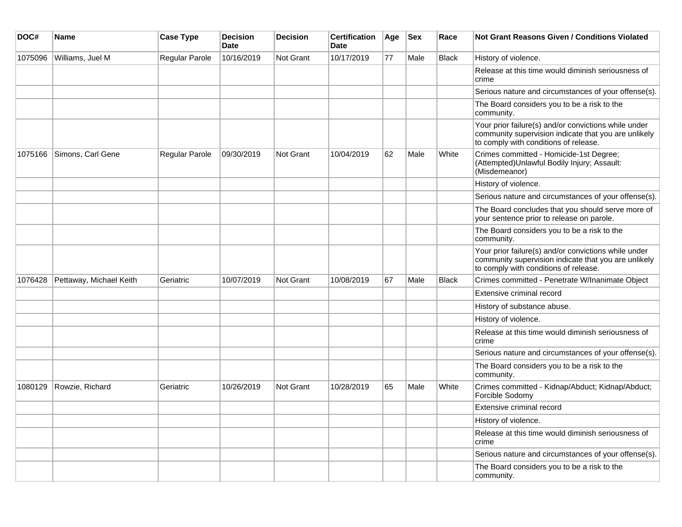| DOC#    | Name                    | <b>Case Type</b> | <b>Decision</b><br><b>Date</b> | <b>Decision</b>  | <b>Certification</b><br><b>Date</b> | Age | <b>Sex</b> | Race         | <b>Not Grant Reasons Given / Conditions Violated</b>                                                                                                  |
|---------|-------------------------|------------------|--------------------------------|------------------|-------------------------------------|-----|------------|--------------|-------------------------------------------------------------------------------------------------------------------------------------------------------|
| 1075096 | Williams, Juel M        | Regular Parole   | 10/16/2019                     | <b>Not Grant</b> | 10/17/2019                          | 77  | Male       | <b>Black</b> | History of violence.                                                                                                                                  |
|         |                         |                  |                                |                  |                                     |     |            |              | Release at this time would diminish seriousness of<br>crime                                                                                           |
|         |                         |                  |                                |                  |                                     |     |            |              | Serious nature and circumstances of your offense(s).                                                                                                  |
|         |                         |                  |                                |                  |                                     |     |            |              | The Board considers you to be a risk to the<br>community.                                                                                             |
|         |                         |                  |                                |                  |                                     |     |            |              | Your prior failure(s) and/or convictions while under<br>community supervision indicate that you are unlikely<br>to comply with conditions of release. |
| 1075166 | Simons, Carl Gene       | Regular Parole   | 09/30/2019                     | <b>Not Grant</b> | 10/04/2019                          | 62  | Male       | White        | Crimes committed - Homicide-1st Degree;<br>(Attempted) Unlawful Bodily Injury; Assault:<br>(Misdemeanor)                                              |
|         |                         |                  |                                |                  |                                     |     |            |              | History of violence.                                                                                                                                  |
|         |                         |                  |                                |                  |                                     |     |            |              | Serious nature and circumstances of your offense(s).                                                                                                  |
|         |                         |                  |                                |                  |                                     |     |            |              | The Board concludes that you should serve more of<br>your sentence prior to release on parole.                                                        |
|         |                         |                  |                                |                  |                                     |     |            |              | The Board considers you to be a risk to the<br>community.                                                                                             |
|         |                         |                  |                                |                  |                                     |     |            |              | Your prior failure(s) and/or convictions while under<br>community supervision indicate that you are unlikely<br>to comply with conditions of release. |
| 1076428 | Pettaway, Michael Keith | Geriatric        | 10/07/2019                     | Not Grant        | 10/08/2019                          | 67  | Male       | <b>Black</b> | Crimes committed - Penetrate W/Inanimate Object                                                                                                       |
|         |                         |                  |                                |                  |                                     |     |            |              | Extensive criminal record                                                                                                                             |
|         |                         |                  |                                |                  |                                     |     |            |              | History of substance abuse.                                                                                                                           |
|         |                         |                  |                                |                  |                                     |     |            |              | History of violence.                                                                                                                                  |
|         |                         |                  |                                |                  |                                     |     |            |              | Release at this time would diminish seriousness of<br>crime                                                                                           |
|         |                         |                  |                                |                  |                                     |     |            |              | Serious nature and circumstances of your offense(s).                                                                                                  |
|         |                         |                  |                                |                  |                                     |     |            |              | The Board considers you to be a risk to the<br>community.                                                                                             |
| 1080129 | Rowzie, Richard         | Geriatric        | 10/26/2019                     | <b>Not Grant</b> | 10/28/2019                          | 65  | Male       | White        | Crimes committed - Kidnap/Abduct; Kidnap/Abduct;<br>Forcible Sodomy                                                                                   |
|         |                         |                  |                                |                  |                                     |     |            |              | Extensive criminal record                                                                                                                             |
|         |                         |                  |                                |                  |                                     |     |            |              | History of violence.                                                                                                                                  |
|         |                         |                  |                                |                  |                                     |     |            |              | Release at this time would diminish seriousness of<br>crime                                                                                           |
|         |                         |                  |                                |                  |                                     |     |            |              | Serious nature and circumstances of your offense(s).                                                                                                  |
|         |                         |                  |                                |                  |                                     |     |            |              | The Board considers you to be a risk to the<br>community.                                                                                             |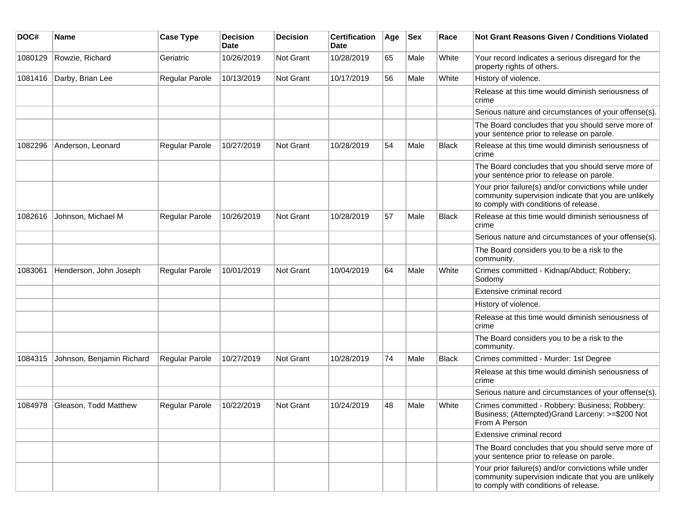| DOC#    | <b>Name</b>               | <b>Case Type</b>      | <b>Decision</b><br><b>Date</b> | <b>Decision</b>  | <b>Certification</b><br>Date | Age | <b>Sex</b> | Race         | <b>Not Grant Reasons Given / Conditions Violated</b>                                                                                                  |
|---------|---------------------------|-----------------------|--------------------------------|------------------|------------------------------|-----|------------|--------------|-------------------------------------------------------------------------------------------------------------------------------------------------------|
| 1080129 | Rowzie, Richard           | Geriatric             | 10/26/2019                     | Not Grant        | 10/28/2019                   | 65  | Male       | White        | Your record indicates a serious disregard for the<br>property rights of others.                                                                       |
| 1081416 | Darby, Brian Lee          | Regular Parole        | 10/13/2019                     | Not Grant        | 10/17/2019                   | 56  | Male       | White        | History of violence.                                                                                                                                  |
|         |                           |                       |                                |                  |                              |     |            |              | Release at this time would diminish seriousness of<br>crime                                                                                           |
|         |                           |                       |                                |                  |                              |     |            |              | Serious nature and circumstances of your offense(s).                                                                                                  |
|         |                           |                       |                                |                  |                              |     |            |              | The Board concludes that you should serve more of<br>your sentence prior to release on parole.                                                        |
| 1082296 | Anderson, Leonard         | <b>Regular Parole</b> | 10/27/2019                     | Not Grant        | 10/28/2019                   | 54  | Male       | <b>Black</b> | Release at this time would diminish seriousness of<br>crime                                                                                           |
|         |                           |                       |                                |                  |                              |     |            |              | The Board concludes that you should serve more of<br>your sentence prior to release on parole.                                                        |
|         |                           |                       |                                |                  |                              |     |            |              | Your prior failure(s) and/or convictions while under<br>community supervision indicate that you are unlikely<br>to comply with conditions of release. |
| 1082616 | Johnson, Michael M        | Regular Parole        | 10/26/2019                     | <b>Not Grant</b> | 10/28/2019                   | 57  | Male       | Black        | Release at this time would diminish seriousness of<br>crime                                                                                           |
|         |                           |                       |                                |                  |                              |     |            |              | Serious nature and circumstances of your offense(s).                                                                                                  |
|         |                           |                       |                                |                  |                              |     |            |              | The Board considers you to be a risk to the<br>community.                                                                                             |
| 1083061 | Henderson, John Joseph    | <b>Regular Parole</b> | 10/01/2019                     | <b>Not Grant</b> | 10/04/2019                   | 64  | Male       | White        | Crimes committed - Kidnap/Abduct; Robbery;<br>Sodomy                                                                                                  |
|         |                           |                       |                                |                  |                              |     |            |              | Extensive criminal record                                                                                                                             |
|         |                           |                       |                                |                  |                              |     |            |              | History of violence.                                                                                                                                  |
|         |                           |                       |                                |                  |                              |     |            |              | Release at this time would diminish seriousness of<br>crime                                                                                           |
|         |                           |                       |                                |                  |                              |     |            |              | The Board considers you to be a risk to the<br>community.                                                                                             |
| 1084315 | Johnson, Benjamin Richard | Regular Parole        | 10/27/2019                     | Not Grant        | 10/28/2019                   | 74  | Male       | <b>Black</b> | Crimes committed - Murder: 1st Degree                                                                                                                 |
|         |                           |                       |                                |                  |                              |     |            |              | Release at this time would diminish seriousness of<br>crime                                                                                           |
|         |                           |                       |                                |                  |                              |     |            |              | Serious nature and circumstances of your offense(s).                                                                                                  |
| 1084978 | Gleason, Todd Matthew     | Regular Parole        | 10/22/2019                     | Not Grant        | 10/24/2019                   | 48  | Male       | White        | Crimes committed - Robbery: Business; Robbery:<br>Business; (Attempted) Grand Larceny: >=\$200 Not<br>From A Person                                   |
|         |                           |                       |                                |                  |                              |     |            |              | Extensive criminal record                                                                                                                             |
|         |                           |                       |                                |                  |                              |     |            |              | The Board concludes that you should serve more of<br>your sentence prior to release on parole.                                                        |
|         |                           |                       |                                |                  |                              |     |            |              | Your prior failure(s) and/or convictions while under<br>community supervision indicate that you are unlikely<br>to comply with conditions of release. |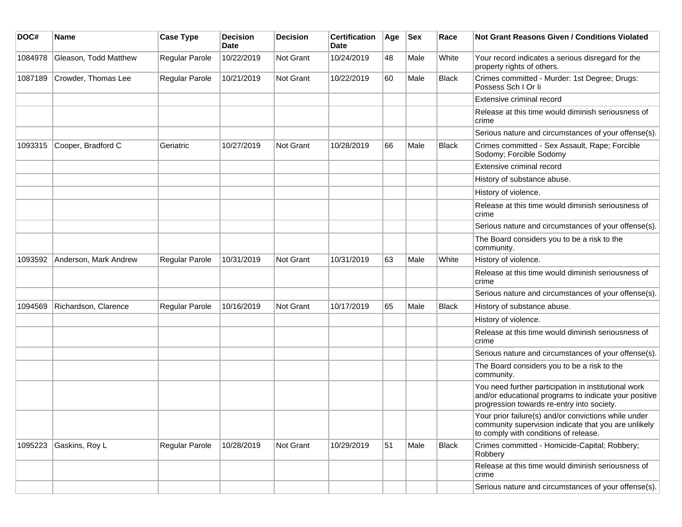| DOC#    | <b>Name</b>           | <b>Case Type</b>      | <b>Decision</b><br><b>Date</b> | <b>Decision</b>  | <b>Certification</b><br>Date | Age | <b>Sex</b> | Race         | <b>Not Grant Reasons Given / Conditions Violated</b>                                                                                                        |
|---------|-----------------------|-----------------------|--------------------------------|------------------|------------------------------|-----|------------|--------------|-------------------------------------------------------------------------------------------------------------------------------------------------------------|
| 1084978 | Gleason, Todd Matthew | Regular Parole        | 10/22/2019                     | Not Grant        | 10/24/2019                   | 48  | Male       | White        | Your record indicates a serious disregard for the<br>property rights of others.                                                                             |
| 1087189 | Crowder, Thomas Lee   | Regular Parole        | 10/21/2019                     | Not Grant        | 10/22/2019                   | 60  | Male       | <b>Black</b> | Crimes committed - Murder: 1st Degree; Drugs:<br>Possess Sch I Or li                                                                                        |
|         |                       |                       |                                |                  |                              |     |            |              | Extensive criminal record                                                                                                                                   |
|         |                       |                       |                                |                  |                              |     |            |              | Release at this time would diminish seriousness of<br>crime                                                                                                 |
|         |                       |                       |                                |                  |                              |     |            |              | Serious nature and circumstances of your offense(s).                                                                                                        |
| 1093315 | Cooper, Bradford C    | Geriatric             | 10/27/2019                     | Not Grant        | 10/28/2019                   | 66  | Male       | Black        | Crimes committed - Sex Assault, Rape; Forcible<br>Sodomy; Forcible Sodomy                                                                                   |
|         |                       |                       |                                |                  |                              |     |            |              | Extensive criminal record                                                                                                                                   |
|         |                       |                       |                                |                  |                              |     |            |              | History of substance abuse.                                                                                                                                 |
|         |                       |                       |                                |                  |                              |     |            |              | History of violence.                                                                                                                                        |
|         |                       |                       |                                |                  |                              |     |            |              | Release at this time would diminish seriousness of<br>crime                                                                                                 |
|         |                       |                       |                                |                  |                              |     |            |              | Serious nature and circumstances of your offense(s).                                                                                                        |
|         |                       |                       |                                |                  |                              |     |            |              | The Board considers you to be a risk to the<br>community.                                                                                                   |
| 1093592 | Anderson, Mark Andrew | <b>Regular Parole</b> | 10/31/2019                     | <b>Not Grant</b> | 10/31/2019                   | 63  | Male       | White        | History of violence.                                                                                                                                        |
|         |                       |                       |                                |                  |                              |     |            |              | Release at this time would diminish seriousness of<br>crime                                                                                                 |
|         |                       |                       |                                |                  |                              |     |            |              | Serious nature and circumstances of your offense(s).                                                                                                        |
| 1094569 | Richardson, Clarence  | <b>Regular Parole</b> | 10/16/2019                     | <b>Not Grant</b> | 10/17/2019                   | 65  | Male       | Black        | History of substance abuse.                                                                                                                                 |
|         |                       |                       |                                |                  |                              |     |            |              | History of violence.                                                                                                                                        |
|         |                       |                       |                                |                  |                              |     |            |              | Release at this time would diminish seriousness of<br>crime                                                                                                 |
|         |                       |                       |                                |                  |                              |     |            |              | Serious nature and circumstances of your offense(s).                                                                                                        |
|         |                       |                       |                                |                  |                              |     |            |              | The Board considers you to be a risk to the<br>community.                                                                                                   |
|         |                       |                       |                                |                  |                              |     |            |              | You need further participation in institutional work<br>and/or educational programs to indicate your positive<br>progression towards re-entry into society. |
|         |                       |                       |                                |                  |                              |     |            |              | Your prior failure(s) and/or convictions while under<br>community supervision indicate that you are unlikely<br>to comply with conditions of release.       |
| 1095223 | Gaskins, Roy L        | Regular Parole        | 10/28/2019                     | Not Grant        | 10/29/2019                   | 51  | Male       | <b>Black</b> | Crimes committed - Homicide-Capital; Robbery;<br>Robbery                                                                                                    |
|         |                       |                       |                                |                  |                              |     |            |              | Release at this time would diminish seriousness of<br>crime                                                                                                 |
|         |                       |                       |                                |                  |                              |     |            |              | Serious nature and circumstances of your offense(s).                                                                                                        |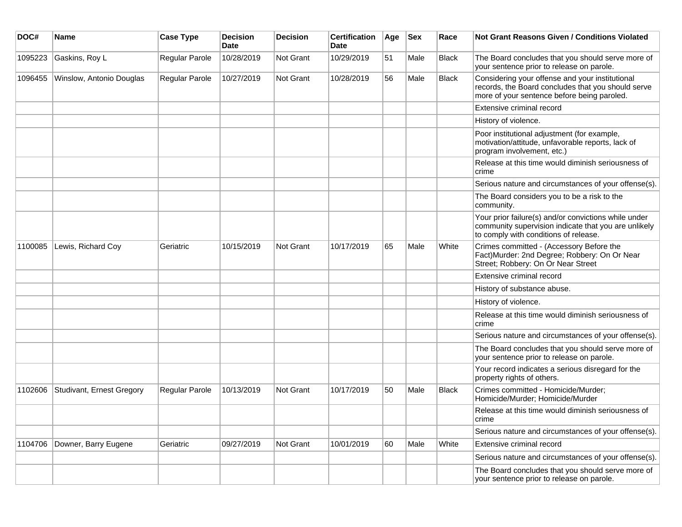| DOC#    | <b>Name</b>               | <b>Case Type</b>      | <b>Decision</b><br><b>Date</b> | <b>Decision</b> | <b>Certification</b><br><b>Date</b> | Age | <b>Sex</b> | Race         | <b>Not Grant Reasons Given / Conditions Violated</b>                                                                                                  |
|---------|---------------------------|-----------------------|--------------------------------|-----------------|-------------------------------------|-----|------------|--------------|-------------------------------------------------------------------------------------------------------------------------------------------------------|
| 1095223 | Gaskins, Roy L            | Regular Parole        | 10/28/2019                     | Not Grant       | 10/29/2019                          | 51  | Male       | <b>Black</b> | The Board concludes that you should serve more of<br>your sentence prior to release on parole.                                                        |
| 1096455 | Winslow, Antonio Douglas  | Regular Parole        | 10/27/2019                     | Not Grant       | 10/28/2019                          | 56  | Male       | <b>Black</b> | Considering your offense and your institutional<br>records, the Board concludes that you should serve<br>more of your sentence before being paroled.  |
|         |                           |                       |                                |                 |                                     |     |            |              | Extensive criminal record                                                                                                                             |
|         |                           |                       |                                |                 |                                     |     |            |              | History of violence.                                                                                                                                  |
|         |                           |                       |                                |                 |                                     |     |            |              | Poor institutional adjustment (for example,<br>motivation/attitude, unfavorable reports, lack of<br>program involvement, etc.)                        |
|         |                           |                       |                                |                 |                                     |     |            |              | Release at this time would diminish seriousness of<br>crime                                                                                           |
|         |                           |                       |                                |                 |                                     |     |            |              | Serious nature and circumstances of your offense(s).                                                                                                  |
|         |                           |                       |                                |                 |                                     |     |            |              | The Board considers you to be a risk to the<br>community.                                                                                             |
|         |                           |                       |                                |                 |                                     |     |            |              | Your prior failure(s) and/or convictions while under<br>community supervision indicate that you are unlikely<br>to comply with conditions of release. |
| 1100085 | Lewis, Richard Coy        | Geriatric             | 10/15/2019                     | Not Grant       | 10/17/2019                          | 65  | Male       | White        | Crimes committed - (Accessory Before the<br>Fact) Murder: 2nd Degree; Robbery: On Or Near<br>Street; Robbery: On Or Near Street                       |
|         |                           |                       |                                |                 |                                     |     |            |              | Extensive criminal record                                                                                                                             |
|         |                           |                       |                                |                 |                                     |     |            |              | History of substance abuse.                                                                                                                           |
|         |                           |                       |                                |                 |                                     |     |            |              | History of violence.                                                                                                                                  |
|         |                           |                       |                                |                 |                                     |     |            |              | Release at this time would diminish seriousness of<br>crime                                                                                           |
|         |                           |                       |                                |                 |                                     |     |            |              | Serious nature and circumstances of your offense(s).                                                                                                  |
|         |                           |                       |                                |                 |                                     |     |            |              | The Board concludes that you should serve more of<br>your sentence prior to release on parole.                                                        |
|         |                           |                       |                                |                 |                                     |     |            |              | Your record indicates a serious disregard for the<br>property rights of others.                                                                       |
| 1102606 | Studivant, Ernest Gregory | <b>Regular Parole</b> | 10/13/2019                     | Not Grant       | 10/17/2019                          | 50  | Male       | <b>Black</b> | Crimes committed - Homicide/Murder;<br>Homicide/Murder; Homicide/Murder                                                                               |
|         |                           |                       |                                |                 |                                     |     |            |              | Release at this time would diminish seriousness of<br>crime                                                                                           |
|         |                           |                       |                                |                 |                                     |     |            |              | Serious nature and circumstances of your offense(s).                                                                                                  |
| 1104706 | Downer, Barry Eugene      | Geriatric             | 09/27/2019                     | Not Grant       | 10/01/2019                          | 60  | Male       | White        | Extensive criminal record                                                                                                                             |
|         |                           |                       |                                |                 |                                     |     |            |              | Serious nature and circumstances of your offense(s).                                                                                                  |
|         |                           |                       |                                |                 |                                     |     |            |              | The Board concludes that you should serve more of<br>your sentence prior to release on parole.                                                        |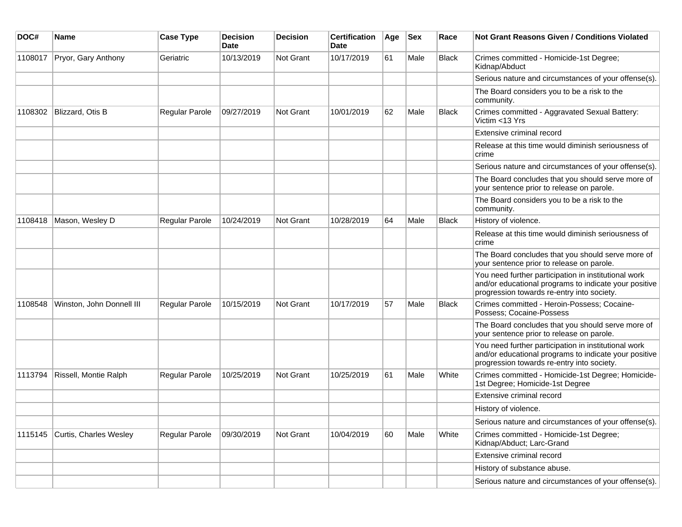| DOC#    | <b>Name</b>               | <b>Case Type</b> | <b>Decision</b><br><b>Date</b> | <b>Decision</b> | <b>Certification</b><br>Date | Age | <b>Sex</b> | Race         | <b>Not Grant Reasons Given / Conditions Violated</b>                                                                                                        |
|---------|---------------------------|------------------|--------------------------------|-----------------|------------------------------|-----|------------|--------------|-------------------------------------------------------------------------------------------------------------------------------------------------------------|
| 1108017 | Pryor, Gary Anthony       | Geriatric        | 10/13/2019                     | Not Grant       | 10/17/2019                   | 61  | Male       | <b>Black</b> | Crimes committed - Homicide-1st Degree;<br>Kidnap/Abduct                                                                                                    |
|         |                           |                  |                                |                 |                              |     |            |              | Serious nature and circumstances of your offense(s).                                                                                                        |
|         |                           |                  |                                |                 |                              |     |            |              | The Board considers you to be a risk to the<br>community.                                                                                                   |
| 1108302 | Blizzard, Otis B          | Regular Parole   | 09/27/2019                     | Not Grant       | 10/01/2019                   | 62  | Male       | <b>Black</b> | Crimes committed - Aggravated Sexual Battery:<br>Victim <13 Yrs                                                                                             |
|         |                           |                  |                                |                 |                              |     |            |              | Extensive criminal record                                                                                                                                   |
|         |                           |                  |                                |                 |                              |     |            |              | Release at this time would diminish seriousness of<br>crime                                                                                                 |
|         |                           |                  |                                |                 |                              |     |            |              | Serious nature and circumstances of your offense(s).                                                                                                        |
|         |                           |                  |                                |                 |                              |     |            |              | The Board concludes that you should serve more of<br>your sentence prior to release on parole.                                                              |
|         |                           |                  |                                |                 |                              |     |            |              | The Board considers you to be a risk to the<br>community.                                                                                                   |
| 1108418 | Mason, Wesley D           | Regular Parole   | 10/24/2019                     | Not Grant       | 10/28/2019                   | 64  | Male       | <b>Black</b> | History of violence.                                                                                                                                        |
|         |                           |                  |                                |                 |                              |     |            |              | Release at this time would diminish seriousness of<br>crime                                                                                                 |
|         |                           |                  |                                |                 |                              |     |            |              | The Board concludes that you should serve more of<br>your sentence prior to release on parole.                                                              |
|         |                           |                  |                                |                 |                              |     |            |              | You need further participation in institutional work<br>and/or educational programs to indicate your positive<br>progression towards re-entry into society. |
| 1108548 | Winston, John Donnell III | Regular Parole   | 10/15/2019                     | Not Grant       | 10/17/2019                   | 57  | Male       | <b>Black</b> | Crimes committed - Heroin-Possess; Cocaine-<br>Possess; Cocaine-Possess                                                                                     |
|         |                           |                  |                                |                 |                              |     |            |              | The Board concludes that you should serve more of<br>your sentence prior to release on parole.                                                              |
|         |                           |                  |                                |                 |                              |     |            |              | You need further participation in institutional work<br>and/or educational programs to indicate your positive<br>progression towards re-entry into society. |
| 1113794 | Rissell, Montie Ralph     | Regular Parole   | 10/25/2019                     | Not Grant       | 10/25/2019                   | 61  | Male       | White        | Crimes committed - Homicide-1st Degree; Homicide-<br>1st Degree; Homicide-1st Degree                                                                        |
|         |                           |                  |                                |                 |                              |     |            |              | Extensive criminal record                                                                                                                                   |
|         |                           |                  |                                |                 |                              |     |            |              | History of violence.                                                                                                                                        |
|         |                           |                  |                                |                 |                              |     |            |              | Serious nature and circumstances of your offense(s).                                                                                                        |
| 1115145 | Curtis, Charles Wesley    | Regular Parole   | 09/30/2019                     | Not Grant       | 10/04/2019                   | 60  | Male       | White        | Crimes committed - Homicide-1st Degree;<br>Kidnap/Abduct; Larc-Grand                                                                                        |
|         |                           |                  |                                |                 |                              |     |            |              | Extensive criminal record                                                                                                                                   |
|         |                           |                  |                                |                 |                              |     |            |              | History of substance abuse.                                                                                                                                 |
|         |                           |                  |                                |                 |                              |     |            |              | Serious nature and circumstances of your offense(s).                                                                                                        |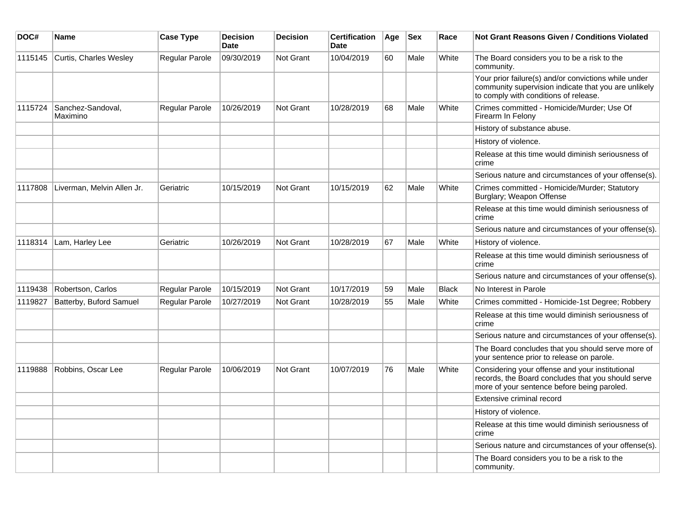| DOC#    | Name                          | <b>Case Type</b>      | <b>Decision</b><br><b>Date</b> | <b>Decision</b>  | <b>Certification</b><br>Date | Age | <b>Sex</b> | Race         | Not Grant Reasons Given / Conditions Violated                                                                                                         |
|---------|-------------------------------|-----------------------|--------------------------------|------------------|------------------------------|-----|------------|--------------|-------------------------------------------------------------------------------------------------------------------------------------------------------|
| 1115145 | Curtis, Charles Wesley        | <b>Regular Parole</b> | 09/30/2019                     | Not Grant        | 10/04/2019                   | 60  | Male       | White        | The Board considers you to be a risk to the<br>community.                                                                                             |
|         |                               |                       |                                |                  |                              |     |            |              | Your prior failure(s) and/or convictions while under<br>community supervision indicate that you are unlikely<br>to comply with conditions of release. |
| 1115724 | Sanchez-Sandoval,<br>Maximino | Regular Parole        | 10/26/2019                     | Not Grant        | 10/28/2019                   | 68  | Male       | White        | Crimes committed - Homicide/Murder; Use Of<br>Firearm In Felony                                                                                       |
|         |                               |                       |                                |                  |                              |     |            |              | History of substance abuse.                                                                                                                           |
|         |                               |                       |                                |                  |                              |     |            |              | History of violence.                                                                                                                                  |
|         |                               |                       |                                |                  |                              |     |            |              | Release at this time would diminish seriousness of<br>crime                                                                                           |
|         |                               |                       |                                |                  |                              |     |            |              | Serious nature and circumstances of your offense(s).                                                                                                  |
| 1117808 | Liverman, Melvin Allen Jr.    | Geriatric             | 10/15/2019                     | <b>Not Grant</b> | 10/15/2019                   | 62  | Male       | White        | Crimes committed - Homicide/Murder; Statutory<br>Burglary; Weapon Offense                                                                             |
|         |                               |                       |                                |                  |                              |     |            |              | Release at this time would diminish seriousness of<br>crime                                                                                           |
|         |                               |                       |                                |                  |                              |     |            |              | Serious nature and circumstances of your offense(s).                                                                                                  |
| 1118314 | Lam, Harley Lee               | Geriatric             | 10/26/2019                     | <b>Not Grant</b> | 10/28/2019                   | 67  | Male       | White        | History of violence.                                                                                                                                  |
|         |                               |                       |                                |                  |                              |     |            |              | Release at this time would diminish seriousness of<br>crime                                                                                           |
|         |                               |                       |                                |                  |                              |     |            |              | Serious nature and circumstances of your offense(s).                                                                                                  |
| 1119438 | Robertson, Carlos             | Regular Parole        | 10/15/2019                     | Not Grant        | 10/17/2019                   | 59  | Male       | <b>Black</b> | No Interest in Parole                                                                                                                                 |
| 1119827 | Batterby, Buford Samuel       | Regular Parole        | 10/27/2019                     | <b>Not Grant</b> | 10/28/2019                   | 55  | Male       | White        | Crimes committed - Homicide-1st Degree; Robbery                                                                                                       |
|         |                               |                       |                                |                  |                              |     |            |              | Release at this time would diminish seriousness of<br>crime                                                                                           |
|         |                               |                       |                                |                  |                              |     |            |              | Serious nature and circumstances of your offense(s).                                                                                                  |
|         |                               |                       |                                |                  |                              |     |            |              | The Board concludes that you should serve more of<br>your sentence prior to release on parole.                                                        |
| 1119888 | Robbins, Oscar Lee            | Regular Parole        | 10/06/2019                     | <b>Not Grant</b> | 10/07/2019                   | 76  | Male       | White        | Considering your offense and your institutional<br>records, the Board concludes that you should serve<br>more of your sentence before being paroled.  |
|         |                               |                       |                                |                  |                              |     |            |              | Extensive criminal record                                                                                                                             |
|         |                               |                       |                                |                  |                              |     |            |              | History of violence.                                                                                                                                  |
|         |                               |                       |                                |                  |                              |     |            |              | Release at this time would diminish seriousness of<br>crime                                                                                           |
|         |                               |                       |                                |                  |                              |     |            |              | Serious nature and circumstances of your offense(s).                                                                                                  |
|         |                               |                       |                                |                  |                              |     |            |              | The Board considers you to be a risk to the<br>community.                                                                                             |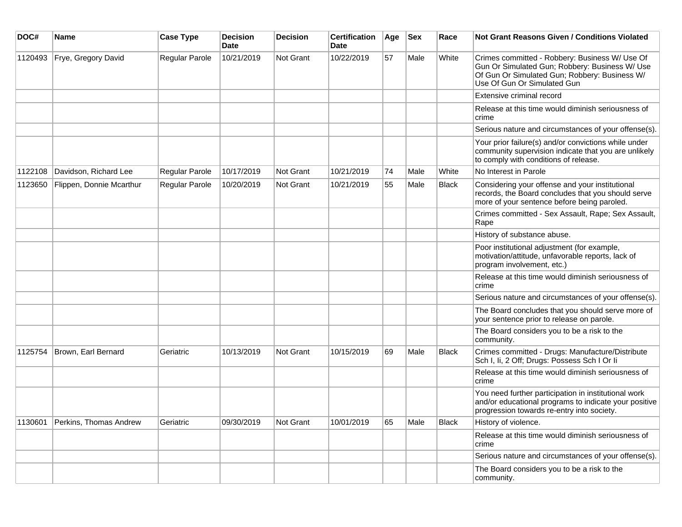| DOC#    | Name                     | <b>Case Type</b> | <b>Decision</b><br><b>Date</b> | <b>Decision</b> | <b>Certification</b><br><b>Date</b> | Age | $ $ Sex | Race         | <b>Not Grant Reasons Given / Conditions Violated</b>                                                                                                                             |
|---------|--------------------------|------------------|--------------------------------|-----------------|-------------------------------------|-----|---------|--------------|----------------------------------------------------------------------------------------------------------------------------------------------------------------------------------|
| 1120493 | Frye, Gregory David      | Regular Parole   | 10/21/2019                     | Not Grant       | 10/22/2019                          | 57  | Male    | White        | Crimes committed - Robbery: Business W/ Use Of<br>Gun Or Simulated Gun; Robbery: Business W/ Use<br>Of Gun Or Simulated Gun; Robbery: Business W/<br>Use Of Gun Or Simulated Gun |
|         |                          |                  |                                |                 |                                     |     |         |              | Extensive criminal record                                                                                                                                                        |
|         |                          |                  |                                |                 |                                     |     |         |              | Release at this time would diminish seriousness of<br>crime                                                                                                                      |
|         |                          |                  |                                |                 |                                     |     |         |              | Serious nature and circumstances of your offense(s).                                                                                                                             |
|         |                          |                  |                                |                 |                                     |     |         |              | Your prior failure(s) and/or convictions while under<br>community supervision indicate that you are unlikely<br>to comply with conditions of release.                            |
| 1122108 | Davidson, Richard Lee    | Regular Parole   | 10/17/2019                     | Not Grant       | 10/21/2019                          | 74  | Male    | White        | No Interest in Parole                                                                                                                                                            |
| 1123650 | Flippen, Donnie Mcarthur | Regular Parole   | 10/20/2019                     | Not Grant       | 10/21/2019                          | 55  | Male    | <b>Black</b> | Considering your offense and your institutional<br>records, the Board concludes that you should serve<br>more of your sentence before being paroled.                             |
|         |                          |                  |                                |                 |                                     |     |         |              | Crimes committed - Sex Assault, Rape; Sex Assault,<br>Rape                                                                                                                       |
|         |                          |                  |                                |                 |                                     |     |         |              | History of substance abuse.                                                                                                                                                      |
|         |                          |                  |                                |                 |                                     |     |         |              | Poor institutional adjustment (for example,<br>motivation/attitude, unfavorable reports, lack of<br>program involvement, etc.)                                                   |
|         |                          |                  |                                |                 |                                     |     |         |              | Release at this time would diminish seriousness of<br>crime                                                                                                                      |
|         |                          |                  |                                |                 |                                     |     |         |              | Serious nature and circumstances of your offense(s).                                                                                                                             |
|         |                          |                  |                                |                 |                                     |     |         |              | The Board concludes that you should serve more of<br>your sentence prior to release on parole.                                                                                   |
|         |                          |                  |                                |                 |                                     |     |         |              | The Board considers you to be a risk to the<br>community.                                                                                                                        |
| 1125754 | Brown, Earl Bernard      | Geriatric        | 10/13/2019                     | Not Grant       | 10/15/2019                          | 69  | Male    | <b>Black</b> | Crimes committed - Drugs: Manufacture/Distribute<br>Sch I, Ii, 2 Off; Drugs: Possess Sch I Or Ii                                                                                 |
|         |                          |                  |                                |                 |                                     |     |         |              | Release at this time would diminish seriousness of<br>crime                                                                                                                      |
|         |                          |                  |                                |                 |                                     |     |         |              | You need further participation in institutional work<br>and/or educational programs to indicate your positive<br>progression towards re-entry into society.                      |
| 1130601 | Perkins, Thomas Andrew   | Geriatric        | 09/30/2019                     | Not Grant       | 10/01/2019                          | 65  | Male    | Black        | History of violence.                                                                                                                                                             |
|         |                          |                  |                                |                 |                                     |     |         |              | Release at this time would diminish seriousness of<br>crime                                                                                                                      |
|         |                          |                  |                                |                 |                                     |     |         |              | Serious nature and circumstances of your offense(s).                                                                                                                             |
|         |                          |                  |                                |                 |                                     |     |         |              | The Board considers you to be a risk to the<br>community.                                                                                                                        |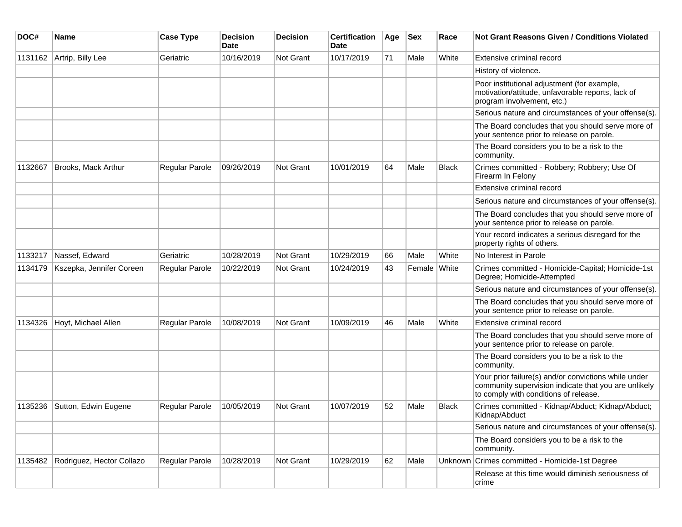| DOC#    | <b>Name</b>               | <b>Case Type</b>      | <b>Decision</b><br><b>Date</b> | <b>Decision</b>  | <b>Certification</b><br>Date | Age | <b>Sex</b> | Race         | <b>Not Grant Reasons Given / Conditions Violated</b>                                                                                                  |
|---------|---------------------------|-----------------------|--------------------------------|------------------|------------------------------|-----|------------|--------------|-------------------------------------------------------------------------------------------------------------------------------------------------------|
| 1131162 | Artrip, Billy Lee         | Geriatric             | 10/16/2019                     | <b>Not Grant</b> | 10/17/2019                   | 71  | Male       | White        | Extensive criminal record                                                                                                                             |
|         |                           |                       |                                |                  |                              |     |            |              | History of violence.                                                                                                                                  |
|         |                           |                       |                                |                  |                              |     |            |              | Poor institutional adjustment (for example,<br>motivation/attitude, unfavorable reports, lack of<br>program involvement, etc.)                        |
|         |                           |                       |                                |                  |                              |     |            |              | Serious nature and circumstances of your offense(s).                                                                                                  |
|         |                           |                       |                                |                  |                              |     |            |              | The Board concludes that you should serve more of<br>your sentence prior to release on parole.                                                        |
|         |                           |                       |                                |                  |                              |     |            |              | The Board considers you to be a risk to the<br>community.                                                                                             |
| 1132667 | Brooks, Mack Arthur       | <b>Regular Parole</b> | 09/26/2019                     | <b>Not Grant</b> | 10/01/2019                   | 64  | Male       | <b>Black</b> | Crimes committed - Robbery; Robbery; Use Of<br>Firearm In Felony                                                                                      |
|         |                           |                       |                                |                  |                              |     |            |              | Extensive criminal record                                                                                                                             |
|         |                           |                       |                                |                  |                              |     |            |              | Serious nature and circumstances of your offense(s).                                                                                                  |
|         |                           |                       |                                |                  |                              |     |            |              | The Board concludes that you should serve more of<br>your sentence prior to release on parole.                                                        |
|         |                           |                       |                                |                  |                              |     |            |              | Your record indicates a serious disregard for the<br>property rights of others.                                                                       |
| 1133217 | Nassef, Edward            | Geriatric             | 10/28/2019                     | <b>Not Grant</b> | 10/29/2019                   | 66  | Male       | White        | No Interest in Parole                                                                                                                                 |
| 1134179 | Kszepka, Jennifer Coreen  | Regular Parole        | 10/22/2019                     | <b>Not Grant</b> | 10/24/2019                   | 43  | Female     | White        | Crimes committed - Homicide-Capital; Homicide-1st<br>Degree; Homicide-Attempted                                                                       |
|         |                           |                       |                                |                  |                              |     |            |              | Serious nature and circumstances of your offense(s).                                                                                                  |
|         |                           |                       |                                |                  |                              |     |            |              | The Board concludes that you should serve more of<br>your sentence prior to release on parole.                                                        |
| 1134326 | Hoyt, Michael Allen       | Regular Parole        | 10/08/2019                     | Not Grant        | 10/09/2019                   | 46  | Male       | White        | Extensive criminal record                                                                                                                             |
|         |                           |                       |                                |                  |                              |     |            |              | The Board concludes that you should serve more of<br>your sentence prior to release on parole.                                                        |
|         |                           |                       |                                |                  |                              |     |            |              | The Board considers you to be a risk to the<br>community.                                                                                             |
|         |                           |                       |                                |                  |                              |     |            |              | Your prior failure(s) and/or convictions while under<br>community supervision indicate that you are unlikely<br>to comply with conditions of release. |
| 1135236 | Sutton, Edwin Eugene      | Regular Parole        | 10/05/2019                     | Not Grant        | 10/07/2019                   | 52  | Male       | <b>Black</b> | Crimes committed - Kidnap/Abduct; Kidnap/Abduct;<br>Kidnap/Abduct                                                                                     |
|         |                           |                       |                                |                  |                              |     |            |              | Serious nature and circumstances of your offense(s).                                                                                                  |
|         |                           |                       |                                |                  |                              |     |            |              | The Board considers you to be a risk to the<br>community.                                                                                             |
| 1135482 | Rodriguez, Hector Collazo | Regular Parole        | 10/28/2019                     | Not Grant        | 10/29/2019                   | 62  | Male       |              | Unknown Crimes committed - Homicide-1st Degree                                                                                                        |
|         |                           |                       |                                |                  |                              |     |            |              | Release at this time would diminish seriousness of<br>crime                                                                                           |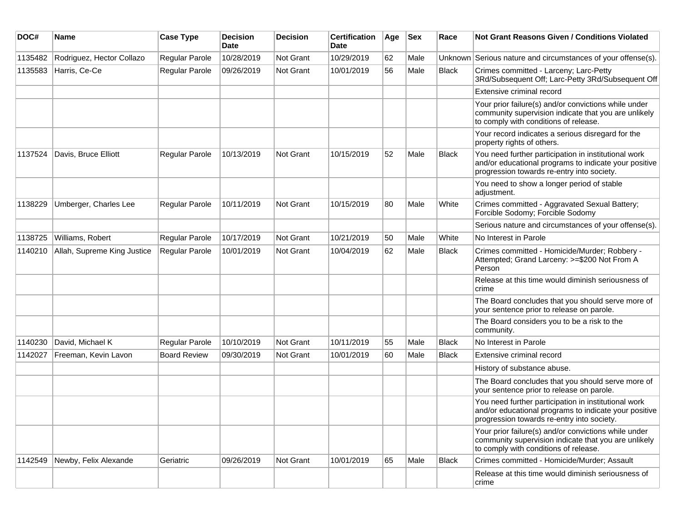| DOC#    | Name                        | <b>Case Type</b>    | <b>Decision</b><br><b>Date</b> | <b>Decision</b> | <b>Certification</b><br>Date | Age | <b>Sex</b> | Race         | Not Grant Reasons Given / Conditions Violated                                                                                                               |
|---------|-----------------------------|---------------------|--------------------------------|-----------------|------------------------------|-----|------------|--------------|-------------------------------------------------------------------------------------------------------------------------------------------------------------|
| 1135482 | Rodriguez, Hector Collazo   | Regular Parole      | 10/28/2019                     | Not Grant       | 10/29/2019                   | 62  | Male       |              | Unknown Serious nature and circumstances of your offense(s).                                                                                                |
| 1135583 | Harris, Ce-Ce               | Regular Parole      | 09/26/2019                     | Not Grant       | 10/01/2019                   | 56  | Male       | <b>Black</b> | Crimes committed - Larceny; Larc-Petty<br>3Rd/Subsequent Off; Larc-Petty 3Rd/Subsequent Off                                                                 |
|         |                             |                     |                                |                 |                              |     |            |              | Extensive criminal record                                                                                                                                   |
|         |                             |                     |                                |                 |                              |     |            |              | Your prior failure(s) and/or convictions while under<br>community supervision indicate that you are unlikely<br>to comply with conditions of release.       |
|         |                             |                     |                                |                 |                              |     |            |              | Your record indicates a serious disregard for the<br>property rights of others.                                                                             |
| 1137524 | Davis, Bruce Elliott        | Regular Parole      | 10/13/2019                     | Not Grant       | 10/15/2019                   | 52  | Male       | <b>Black</b> | You need further participation in institutional work<br>and/or educational programs to indicate your positive<br>progression towards re-entry into society. |
|         |                             |                     |                                |                 |                              |     |            |              | You need to show a longer period of stable<br>adjustment.                                                                                                   |
| 1138229 | Umberger, Charles Lee       | Regular Parole      | 10/11/2019                     | Not Grant       | 10/15/2019                   | 80  | Male       | White        | Crimes committed - Aggravated Sexual Battery;<br>Forcible Sodomy; Forcible Sodomy                                                                           |
|         |                             |                     |                                |                 |                              |     |            |              | Serious nature and circumstances of your offense(s).                                                                                                        |
| 1138725 | Williams, Robert            | Regular Parole      | 10/17/2019                     | Not Grant       | 10/21/2019                   | 50  | Male       | White        | No Interest in Parole                                                                                                                                       |
| 1140210 | Allah, Supreme King Justice | Regular Parole      | 10/01/2019                     | Not Grant       | 10/04/2019                   | 62  | Male       | <b>Black</b> | Crimes committed - Homicide/Murder; Robbery -<br>Attempted; Grand Larceny: >=\$200 Not From A<br>Person                                                     |
|         |                             |                     |                                |                 |                              |     |            |              | Release at this time would diminish seriousness of<br>crime                                                                                                 |
|         |                             |                     |                                |                 |                              |     |            |              | The Board concludes that you should serve more of<br>your sentence prior to release on parole.                                                              |
|         |                             |                     |                                |                 |                              |     |            |              | The Board considers you to be a risk to the<br>community.                                                                                                   |
| 1140230 | David, Michael K            | Regular Parole      | 10/10/2019                     | Not Grant       | 10/11/2019                   | 55  | Male       | <b>Black</b> | No Interest in Parole                                                                                                                                       |
| 1142027 | Freeman, Kevin Lavon        | <b>Board Review</b> | 09/30/2019                     | Not Grant       | 10/01/2019                   | 60  | Male       | <b>Black</b> | Extensive criminal record                                                                                                                                   |
|         |                             |                     |                                |                 |                              |     |            |              | History of substance abuse.                                                                                                                                 |
|         |                             |                     |                                |                 |                              |     |            |              | The Board concludes that you should serve more of<br>your sentence prior to release on parole.                                                              |
|         |                             |                     |                                |                 |                              |     |            |              | You need further participation in institutional work<br>and/or educational programs to indicate your positive<br>progression towards re-entry into society. |
|         |                             |                     |                                |                 |                              |     |            |              | Your prior failure(s) and/or convictions while under<br>community supervision indicate that you are unlikely<br>to comply with conditions of release.       |
| 1142549 | Newby, Felix Alexande       | Geriatric           | 09/26/2019                     | Not Grant       | 10/01/2019                   | 65  | Male       | <b>Black</b> | Crimes committed - Homicide/Murder; Assault                                                                                                                 |
|         |                             |                     |                                |                 |                              |     |            |              | Release at this time would diminish seriousness of<br>crime                                                                                                 |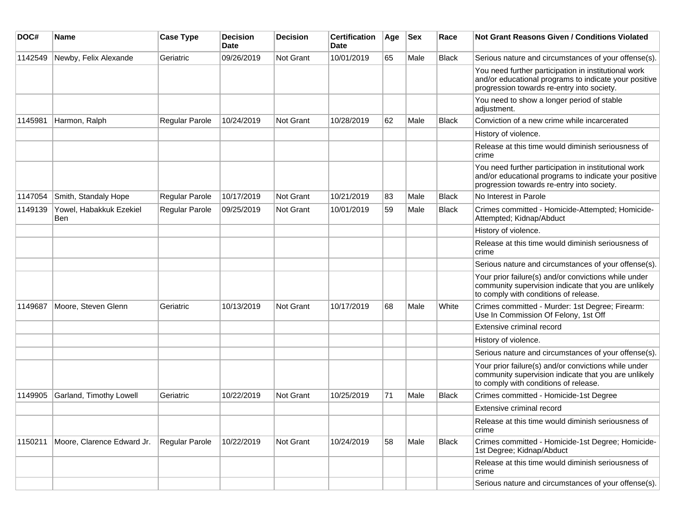| DOC#    | Name                           | <b>Case Type</b> | <b>Decision</b><br><b>Date</b> | <b>Decision</b> | <b>Certification</b><br>Date | Age | Sex  | Race         | Not Grant Reasons Given / Conditions Violated                                                                                                               |
|---------|--------------------------------|------------------|--------------------------------|-----------------|------------------------------|-----|------|--------------|-------------------------------------------------------------------------------------------------------------------------------------------------------------|
| 1142549 | Newby, Felix Alexande          | Geriatric        | 09/26/2019                     | Not Grant       | 10/01/2019                   | 65  | Male | <b>Black</b> | Serious nature and circumstances of your offense(s).                                                                                                        |
|         |                                |                  |                                |                 |                              |     |      |              | You need further participation in institutional work<br>and/or educational programs to indicate your positive<br>progression towards re-entry into society. |
|         |                                |                  |                                |                 |                              |     |      |              | You need to show a longer period of stable<br>adjustment.                                                                                                   |
| 1145981 | Harmon, Ralph                  | Regular Parole   | 10/24/2019                     | Not Grant       | 10/28/2019                   | 62  | Male | <b>Black</b> | Conviction of a new crime while incarcerated                                                                                                                |
|         |                                |                  |                                |                 |                              |     |      |              | History of violence.                                                                                                                                        |
|         |                                |                  |                                |                 |                              |     |      |              | Release at this time would diminish seriousness of<br>crime                                                                                                 |
|         |                                |                  |                                |                 |                              |     |      |              | You need further participation in institutional work<br>and/or educational programs to indicate your positive<br>progression towards re-entry into society. |
| 1147054 | Smith, Standaly Hope           | Regular Parole   | 10/17/2019                     | Not Grant       | 10/21/2019                   | 83  | Male | <b>Black</b> | No Interest in Parole                                                                                                                                       |
| 1149139 | Yowel, Habakkuk Ezekiel<br>Ben | Regular Parole   | 09/25/2019                     | Not Grant       | 10/01/2019                   | 59  | Male | Black        | Crimes committed - Homicide-Attempted; Homicide-<br>Attempted; Kidnap/Abduct                                                                                |
|         |                                |                  |                                |                 |                              |     |      |              | History of violence.                                                                                                                                        |
|         |                                |                  |                                |                 |                              |     |      |              | Release at this time would diminish seriousness of<br>crime                                                                                                 |
|         |                                |                  |                                |                 |                              |     |      |              | Serious nature and circumstances of your offense(s).                                                                                                        |
|         |                                |                  |                                |                 |                              |     |      |              | Your prior failure(s) and/or convictions while under<br>community supervision indicate that you are unlikely<br>to comply with conditions of release.       |
| 1149687 | Moore, Steven Glenn            | Geriatric        | 10/13/2019                     | Not Grant       | 10/17/2019                   | 68  | Male | White        | Crimes committed - Murder: 1st Degree; Firearm:<br>Use In Commission Of Felony, 1st Off                                                                     |
|         |                                |                  |                                |                 |                              |     |      |              | Extensive criminal record                                                                                                                                   |
|         |                                |                  |                                |                 |                              |     |      |              | History of violence.                                                                                                                                        |
|         |                                |                  |                                |                 |                              |     |      |              | Serious nature and circumstances of your offense(s).                                                                                                        |
|         |                                |                  |                                |                 |                              |     |      |              | Your prior failure(s) and/or convictions while under<br>community supervision indicate that you are unlikely<br>to comply with conditions of release.       |
| 1149905 | Garland, Timothy Lowell        | Geriatric        | 10/22/2019                     | Not Grant       | 10/25/2019                   | 71  | Male | <b>Black</b> | Crimes committed - Homicide-1st Degree                                                                                                                      |
|         |                                |                  |                                |                 |                              |     |      |              | Extensive criminal record                                                                                                                                   |
|         |                                |                  |                                |                 |                              |     |      |              | Release at this time would diminish seriousness of<br>crime                                                                                                 |
| 1150211 | Moore, Clarence Edward Jr.     | Regular Parole   | 10/22/2019                     | Not Grant       | 10/24/2019                   | 58  | Male | Black        | Crimes committed - Homicide-1st Degree; Homicide-<br>1st Degree; Kidnap/Abduct                                                                              |
|         |                                |                  |                                |                 |                              |     |      |              | Release at this time would diminish seriousness of<br>crime                                                                                                 |
|         |                                |                  |                                |                 |                              |     |      |              | Serious nature and circumstances of your offense(s).                                                                                                        |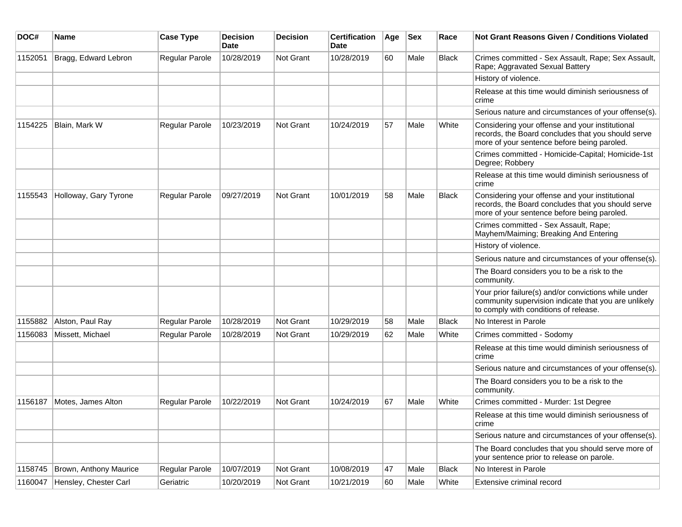| DOC#    | Name                   | <b>Case Type</b>      | <b>Decision</b><br><b>Date</b> | <b>Decision</b> | <b>Certification</b><br>Date | Age | <b>Sex</b> | Race         | Not Grant Reasons Given / Conditions Violated                                                                                                         |
|---------|------------------------|-----------------------|--------------------------------|-----------------|------------------------------|-----|------------|--------------|-------------------------------------------------------------------------------------------------------------------------------------------------------|
| 1152051 | Bragg, Edward Lebron   | <b>Regular Parole</b> | 10/28/2019                     | Not Grant       | 10/28/2019                   | 60  | Male       | <b>Black</b> | Crimes committed - Sex Assault, Rape; Sex Assault,<br>Rape; Aggravated Sexual Battery                                                                 |
|         |                        |                       |                                |                 |                              |     |            |              | History of violence.                                                                                                                                  |
|         |                        |                       |                                |                 |                              |     |            |              | Release at this time would diminish seriousness of<br>crime                                                                                           |
|         |                        |                       |                                |                 |                              |     |            |              | Serious nature and circumstances of your offense(s).                                                                                                  |
| 1154225 | Blain, Mark W          | Regular Parole        | 10/23/2019                     | Not Grant       | 10/24/2019                   | 57  | Male       | White        | Considering your offense and your institutional<br>records, the Board concludes that you should serve<br>more of your sentence before being paroled.  |
|         |                        |                       |                                |                 |                              |     |            |              | Crimes committed - Homicide-Capital; Homicide-1st<br>Degree; Robbery                                                                                  |
|         |                        |                       |                                |                 |                              |     |            |              | Release at this time would diminish seriousness of<br>crime                                                                                           |
| 1155543 | Holloway, Gary Tyrone  | Regular Parole        | 09/27/2019                     | Not Grant       | 10/01/2019                   | 58  | Male       | <b>Black</b> | Considering your offense and your institutional<br>records, the Board concludes that you should serve<br>more of your sentence before being paroled.  |
|         |                        |                       |                                |                 |                              |     |            |              | Crimes committed - Sex Assault, Rape;<br>Mayhem/Maiming; Breaking And Entering                                                                        |
|         |                        |                       |                                |                 |                              |     |            |              | History of violence.                                                                                                                                  |
|         |                        |                       |                                |                 |                              |     |            |              | Serious nature and circumstances of your offense(s).                                                                                                  |
|         |                        |                       |                                |                 |                              |     |            |              | The Board considers you to be a risk to the<br>community.                                                                                             |
|         |                        |                       |                                |                 |                              |     |            |              | Your prior failure(s) and/or convictions while under<br>community supervision indicate that you are unlikely<br>to comply with conditions of release. |
| 1155882 | Alston, Paul Ray       | Regular Parole        | 10/28/2019                     | Not Grant       | 10/29/2019                   | 58  | Male       | <b>Black</b> | No Interest in Parole                                                                                                                                 |
| 1156083 | Missett, Michael       | Regular Parole        | 10/28/2019                     | Not Grant       | 10/29/2019                   | 62  | Male       | White        | Crimes committed - Sodomy                                                                                                                             |
|         |                        |                       |                                |                 |                              |     |            |              | Release at this time would diminish seriousness of<br>crime                                                                                           |
|         |                        |                       |                                |                 |                              |     |            |              | Serious nature and circumstances of your offense(s).                                                                                                  |
|         |                        |                       |                                |                 |                              |     |            |              | The Board considers you to be a risk to the<br>community.                                                                                             |
| 1156187 | Motes, James Alton     | Regular Parole        | 10/22/2019                     | Not Grant       | 10/24/2019                   | 67  | Male       | White        | Crimes committed - Murder: 1st Degree                                                                                                                 |
|         |                        |                       |                                |                 |                              |     |            |              | Release at this time would diminish seriousness of<br>crime                                                                                           |
|         |                        |                       |                                |                 |                              |     |            |              | Serious nature and circumstances of your offense(s).                                                                                                  |
|         |                        |                       |                                |                 |                              |     |            |              | The Board concludes that you should serve more of<br>your sentence prior to release on parole.                                                        |
| 1158745 | Brown, Anthony Maurice | Regular Parole        | 10/07/2019                     | Not Grant       | 10/08/2019                   | 47  | Male       | <b>Black</b> | No Interest in Parole                                                                                                                                 |
| 1160047 | Hensley, Chester Carl  | Geriatric             | 10/20/2019                     | Not Grant       | 10/21/2019                   | 60  | Male       | White        | Extensive criminal record                                                                                                                             |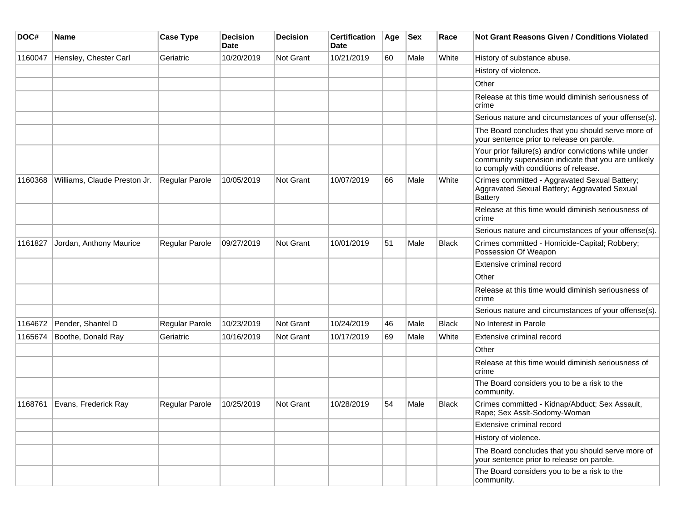| DOC#    | <b>Name</b>                  | <b>Case Type</b> | <b>Decision</b><br>Date | <b>Decision</b>  | <b>Certification</b><br>Date | Age | <b>Sex</b> | Race         | <b>Not Grant Reasons Given / Conditions Violated</b>                                                                                                  |
|---------|------------------------------|------------------|-------------------------|------------------|------------------------------|-----|------------|--------------|-------------------------------------------------------------------------------------------------------------------------------------------------------|
| 1160047 | Hensley, Chester Carl        | Geriatric        | 10/20/2019              | <b>Not Grant</b> | 10/21/2019                   | 60  | Male       | White        | History of substance abuse.                                                                                                                           |
|         |                              |                  |                         |                  |                              |     |            |              | History of violence.                                                                                                                                  |
|         |                              |                  |                         |                  |                              |     |            |              | Other                                                                                                                                                 |
|         |                              |                  |                         |                  |                              |     |            |              | Release at this time would diminish seriousness of<br>crime                                                                                           |
|         |                              |                  |                         |                  |                              |     |            |              | Serious nature and circumstances of your offense(s).                                                                                                  |
|         |                              |                  |                         |                  |                              |     |            |              | The Board concludes that you should serve more of<br>your sentence prior to release on parole.                                                        |
|         |                              |                  |                         |                  |                              |     |            |              | Your prior failure(s) and/or convictions while under<br>community supervision indicate that you are unlikely<br>to comply with conditions of release. |
| 1160368 | Williams, Claude Preston Jr. | Regular Parole   | 10/05/2019              | <b>Not Grant</b> | 10/07/2019                   | 66  | Male       | White        | Crimes committed - Aggravated Sexual Battery;<br>Aggravated Sexual Battery; Aggravated Sexual<br>Battery                                              |
|         |                              |                  |                         |                  |                              |     |            |              | Release at this time would diminish seriousness of<br>crime                                                                                           |
|         |                              |                  |                         |                  |                              |     |            |              | Serious nature and circumstances of your offense(s).                                                                                                  |
| 1161827 | Jordan, Anthony Maurice      | Regular Parole   | 09/27/2019              | <b>Not Grant</b> | 10/01/2019                   | 51  | Male       | <b>Black</b> | Crimes committed - Homicide-Capital; Robbery;<br>Possession Of Weapon                                                                                 |
|         |                              |                  |                         |                  |                              |     |            |              | Extensive criminal record                                                                                                                             |
|         |                              |                  |                         |                  |                              |     |            |              | Other                                                                                                                                                 |
|         |                              |                  |                         |                  |                              |     |            |              | Release at this time would diminish seriousness of<br>crime                                                                                           |
|         |                              |                  |                         |                  |                              |     |            |              | Serious nature and circumstances of your offense(s).                                                                                                  |
| 1164672 | Pender, Shantel D            | Regular Parole   | 10/23/2019              | Not Grant        | 10/24/2019                   | 46  | Male       | <b>Black</b> | No Interest in Parole                                                                                                                                 |
| 1165674 | Boothe, Donald Ray           | Geriatric        | 10/16/2019              | <b>Not Grant</b> | 10/17/2019                   | 69  | Male       | White        | Extensive criminal record                                                                                                                             |
|         |                              |                  |                         |                  |                              |     |            |              | Other                                                                                                                                                 |
|         |                              |                  |                         |                  |                              |     |            |              | Release at this time would diminish seriousness of<br>crime                                                                                           |
|         |                              |                  |                         |                  |                              |     |            |              | The Board considers you to be a risk to the<br>community.                                                                                             |
| 1168761 | Evans, Frederick Ray         | Regular Parole   | 10/25/2019              | Not Grant        | 10/28/2019                   | 54  | Male       | <b>Black</b> | Crimes committed - Kidnap/Abduct; Sex Assault,<br>Rape; Sex Asslt-Sodomy-Woman                                                                        |
|         |                              |                  |                         |                  |                              |     |            |              | Extensive criminal record                                                                                                                             |
|         |                              |                  |                         |                  |                              |     |            |              | History of violence.                                                                                                                                  |
|         |                              |                  |                         |                  |                              |     |            |              | The Board concludes that you should serve more of<br>your sentence prior to release on parole.                                                        |
|         |                              |                  |                         |                  |                              |     |            |              | The Board considers you to be a risk to the<br>community.                                                                                             |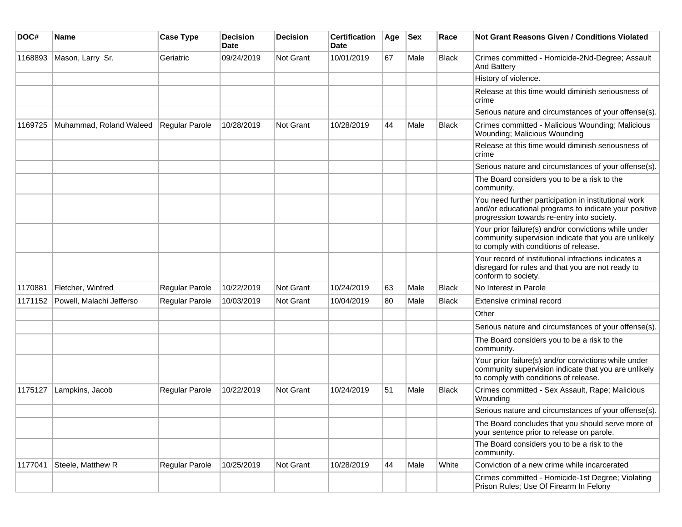| DOC#    | <b>Name</b>              | <b>Case Type</b>      | <b>Decision</b><br>Date | <b>Decision</b> | <b>Certification</b><br>Date | Age | <b>Sex</b> | Race         | <b>Not Grant Reasons Given / Conditions Violated</b>                                                                                                        |
|---------|--------------------------|-----------------------|-------------------------|-----------------|------------------------------|-----|------------|--------------|-------------------------------------------------------------------------------------------------------------------------------------------------------------|
| 1168893 | Mason, Larry Sr.         | Geriatric             | 09/24/2019              | Not Grant       | 10/01/2019                   | 67  | Male       | Black        | Crimes committed - Homicide-2Nd-Degree; Assault<br><b>And Battery</b>                                                                                       |
|         |                          |                       |                         |                 |                              |     |            |              | History of violence.                                                                                                                                        |
|         |                          |                       |                         |                 |                              |     |            |              | Release at this time would diminish seriousness of<br>crime                                                                                                 |
|         |                          |                       |                         |                 |                              |     |            |              | Serious nature and circumstances of your offense(s).                                                                                                        |
| 1169725 | Muhammad, Roland Waleed  | <b>Regular Parole</b> | 10/28/2019              | Not Grant       | 10/28/2019                   | 44  | Male       | <b>Black</b> | Crimes committed - Malicious Wounding; Malicious<br>Wounding; Malicious Wounding                                                                            |
|         |                          |                       |                         |                 |                              |     |            |              | Release at this time would diminish seriousness of<br>crime                                                                                                 |
|         |                          |                       |                         |                 |                              |     |            |              | Serious nature and circumstances of your offense(s).                                                                                                        |
|         |                          |                       |                         |                 |                              |     |            |              | The Board considers you to be a risk to the<br>community.                                                                                                   |
|         |                          |                       |                         |                 |                              |     |            |              | You need further participation in institutional work<br>and/or educational programs to indicate your positive<br>progression towards re-entry into society. |
|         |                          |                       |                         |                 |                              |     |            |              | Your prior failure(s) and/or convictions while under<br>community supervision indicate that you are unlikely<br>to comply with conditions of release.       |
|         |                          |                       |                         |                 |                              |     |            |              | Your record of institutional infractions indicates a<br>disregard for rules and that you are not ready to<br>conform to society.                            |
| 1170881 | Fletcher, Winfred        | Regular Parole        | 10/22/2019              | Not Grant       | 10/24/2019                   | 63  | Male       | <b>Black</b> | No Interest in Parole                                                                                                                                       |
| 1171152 | Powell, Malachi Jefferso | Regular Parole        | 10/03/2019              | Not Grant       | 10/04/2019                   | 80  | Male       | <b>Black</b> | Extensive criminal record                                                                                                                                   |
|         |                          |                       |                         |                 |                              |     |            |              | Other                                                                                                                                                       |
|         |                          |                       |                         |                 |                              |     |            |              | Serious nature and circumstances of your offense(s).                                                                                                        |
|         |                          |                       |                         |                 |                              |     |            |              | The Board considers you to be a risk to the<br>community.                                                                                                   |
|         |                          |                       |                         |                 |                              |     |            |              | Your prior failure(s) and/or convictions while under<br>community supervision indicate that you are unlikely<br>to comply with conditions of release.       |
| 1175127 | Lampkins, Jacob          | Regular Parole        | 10/22/2019              | Not Grant       | 10/24/2019                   | 51  | Male       | <b>Black</b> | Crimes committed - Sex Assault, Rape; Malicious<br>Wounding                                                                                                 |
|         |                          |                       |                         |                 |                              |     |            |              | Serious nature and circumstances of your offense(s).                                                                                                        |
|         |                          |                       |                         |                 |                              |     |            |              | The Board concludes that you should serve more of<br>your sentence prior to release on parole.                                                              |
|         |                          |                       |                         |                 |                              |     |            |              | The Board considers you to be a risk to the<br>community.                                                                                                   |
| 1177041 | Steele, Matthew R        | Regular Parole        | 10/25/2019              | Not Grant       | 10/28/2019                   | 44  | Male       | White        | Conviction of a new crime while incarcerated                                                                                                                |
|         |                          |                       |                         |                 |                              |     |            |              | Crimes committed - Homicide-1st Degree; Violating<br>Prison Rules; Use Of Firearm In Felony                                                                 |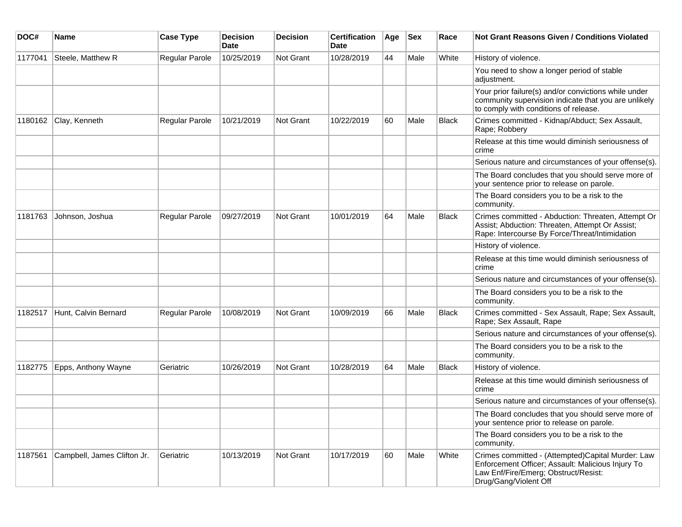| DOC#    | <b>Name</b>                 | <b>Case Type</b>      | <b>Decision</b><br>Date | <b>Decision</b> | <b>Certification</b><br><b>Date</b> | Age | <b>Sex</b> | Race         | <b>Not Grant Reasons Given / Conditions Violated</b>                                                                                                                    |
|---------|-----------------------------|-----------------------|-------------------------|-----------------|-------------------------------------|-----|------------|--------------|-------------------------------------------------------------------------------------------------------------------------------------------------------------------------|
| 1177041 | Steele, Matthew R           | Regular Parole        | 10/25/2019              | Not Grant       | 10/28/2019                          | 44  | Male       | White        | History of violence.                                                                                                                                                    |
|         |                             |                       |                         |                 |                                     |     |            |              | You need to show a longer period of stable<br>adjustment.                                                                                                               |
|         |                             |                       |                         |                 |                                     |     |            |              | Your prior failure(s) and/or convictions while under<br>community supervision indicate that you are unlikely<br>to comply with conditions of release.                   |
| 1180162 | Clay, Kenneth               | Regular Parole        | 10/21/2019              | Not Grant       | 10/22/2019                          | 60  | Male       | Black        | Crimes committed - Kidnap/Abduct; Sex Assault,<br>Rape; Robbery                                                                                                         |
|         |                             |                       |                         |                 |                                     |     |            |              | Release at this time would diminish seriousness of<br>crime                                                                                                             |
|         |                             |                       |                         |                 |                                     |     |            |              | Serious nature and circumstances of your offense(s).                                                                                                                    |
|         |                             |                       |                         |                 |                                     |     |            |              | The Board concludes that you should serve more of<br>your sentence prior to release on parole.                                                                          |
|         |                             |                       |                         |                 |                                     |     |            |              | The Board considers you to be a risk to the<br>community.                                                                                                               |
| 1181763 | Johnson, Joshua             | Regular Parole        | 09/27/2019              | Not Grant       | 10/01/2019                          | 64  | Male       | Black        | Crimes committed - Abduction: Threaten, Attempt Or<br>Assist; Abduction: Threaten, Attempt Or Assist;<br>Rape: Intercourse By Force/Threat/Intimidation                 |
|         |                             |                       |                         |                 |                                     |     |            |              | History of violence.                                                                                                                                                    |
|         |                             |                       |                         |                 |                                     |     |            |              | Release at this time would diminish seriousness of<br>crime                                                                                                             |
|         |                             |                       |                         |                 |                                     |     |            |              | Serious nature and circumstances of your offense(s).                                                                                                                    |
|         |                             |                       |                         |                 |                                     |     |            |              | The Board considers you to be a risk to the<br>community.                                                                                                               |
| 1182517 | Hunt, Calvin Bernard        | <b>Regular Parole</b> | 10/08/2019              | Not Grant       | 10/09/2019                          | 66  | Male       | <b>Black</b> | Crimes committed - Sex Assault, Rape; Sex Assault,<br>Rape; Sex Assault, Rape                                                                                           |
|         |                             |                       |                         |                 |                                     |     |            |              | Serious nature and circumstances of your offense(s).                                                                                                                    |
|         |                             |                       |                         |                 |                                     |     |            |              | The Board considers you to be a risk to the<br>community.                                                                                                               |
| 1182775 | Epps, Anthony Wayne         | Geriatric             | 10/26/2019              | Not Grant       | 10/28/2019                          | 64  | Male       | Black        | History of violence.                                                                                                                                                    |
|         |                             |                       |                         |                 |                                     |     |            |              | Release at this time would diminish seriousness of<br>crime                                                                                                             |
|         |                             |                       |                         |                 |                                     |     |            |              | Serious nature and circumstances of your offense(s).                                                                                                                    |
|         |                             |                       |                         |                 |                                     |     |            |              | The Board concludes that you should serve more of<br>your sentence prior to release on parole.                                                                          |
|         |                             |                       |                         |                 |                                     |     |            |              | The Board considers you to be a risk to the<br>community.                                                                                                               |
| 1187561 | Campbell, James Clifton Jr. | Geriatric             | 10/13/2019              | Not Grant       | 10/17/2019                          | 60  | Male       | White        | Crimes committed - (Attempted)Capital Murder: Law<br>Enforcement Officer; Assault: Malicious Injury To<br>Law Enf/Fire/Emerg; Obstruct/Resist:<br>Drug/Gang/Violent Off |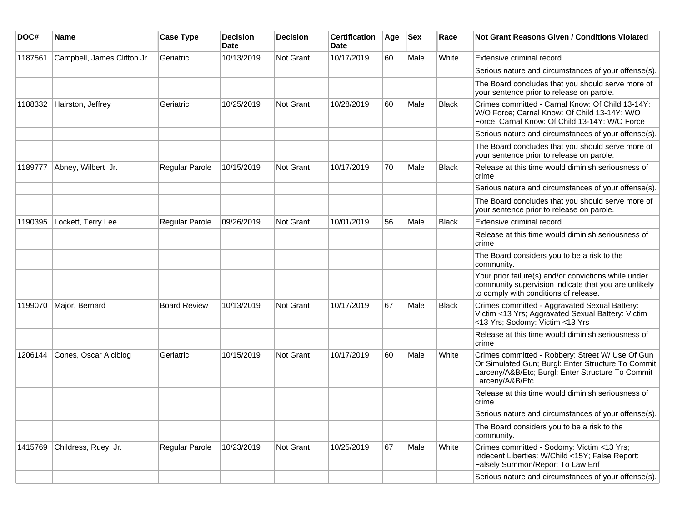| DOC#    | Name                        | <b>Case Type</b>    | <b>Decision</b><br><b>Date</b> | <b>Decision</b>  | <b>Certification</b><br>Date | Age | <b>Sex</b> | Race         | <b>Not Grant Reasons Given / Conditions Violated</b>                                                                                                                           |
|---------|-----------------------------|---------------------|--------------------------------|------------------|------------------------------|-----|------------|--------------|--------------------------------------------------------------------------------------------------------------------------------------------------------------------------------|
| 1187561 | Campbell, James Clifton Jr. | Geriatric           | 10/13/2019                     | Not Grant        | 10/17/2019                   | 60  | Male       | White        | Extensive criminal record                                                                                                                                                      |
|         |                             |                     |                                |                  |                              |     |            |              | Serious nature and circumstances of your offense(s).                                                                                                                           |
|         |                             |                     |                                |                  |                              |     |            |              | The Board concludes that you should serve more of<br>your sentence prior to release on parole.                                                                                 |
| 1188332 | Hairston, Jeffrey           | Geriatric           | 10/25/2019                     | <b>Not Grant</b> | 10/28/2019                   | 60  | Male       | <b>Black</b> | Crimes committed - Carnal Know: Of Child 13-14Y:<br>W/O Force; Carnal Know: Of Child 13-14Y: W/O<br>Force: Carnal Know: Of Child 13-14Y: W/O Force                             |
|         |                             |                     |                                |                  |                              |     |            |              | Serious nature and circumstances of your offense(s).                                                                                                                           |
|         |                             |                     |                                |                  |                              |     |            |              | The Board concludes that you should serve more of<br>your sentence prior to release on parole.                                                                                 |
| 1189777 | Abney, Wilbert Jr.          | Regular Parole      | 10/15/2019                     | <b>Not Grant</b> | 10/17/2019                   | 70  | Male       | <b>Black</b> | Release at this time would diminish seriousness of<br>crime                                                                                                                    |
|         |                             |                     |                                |                  |                              |     |            |              | Serious nature and circumstances of your offense(s).                                                                                                                           |
|         |                             |                     |                                |                  |                              |     |            |              | The Board concludes that you should serve more of<br>your sentence prior to release on parole.                                                                                 |
| 1190395 | Lockett, Terry Lee          | Regular Parole      | 09/26/2019                     | Not Grant        | 10/01/2019                   | 56  | Male       | Black        | Extensive criminal record                                                                                                                                                      |
|         |                             |                     |                                |                  |                              |     |            |              | Release at this time would diminish seriousness of<br>crime                                                                                                                    |
|         |                             |                     |                                |                  |                              |     |            |              | The Board considers you to be a risk to the<br>community.                                                                                                                      |
|         |                             |                     |                                |                  |                              |     |            |              | Your prior failure(s) and/or convictions while under<br>community supervision indicate that you are unlikely<br>to comply with conditions of release.                          |
| 1199070 | Major, Bernard              | <b>Board Review</b> | 10/13/2019                     | Not Grant        | 10/17/2019                   | 67  | Male       | <b>Black</b> | Crimes committed - Aggravated Sexual Battery:<br>Victim <13 Yrs; Aggravated Sexual Battery: Victim<br><13 Yrs; Sodomy: Victim <13 Yrs                                          |
|         |                             |                     |                                |                  |                              |     |            |              | Release at this time would diminish seriousness of<br>crime                                                                                                                    |
| 1206144 | Cones, Oscar Alcibiog       | Geriatric           | 10/15/2019                     | <b>Not Grant</b> | 10/17/2019                   | 60  | Male       | White        | Crimes committed - Robbery: Street W/ Use Of Gun<br>Or Simulated Gun; Burgl: Enter Structure To Commit<br>Larceny/A&B/Etc; Burgl: Enter Structure To Commit<br>Larceny/A&B/Etc |
|         |                             |                     |                                |                  |                              |     |            |              | Release at this time would diminish seriousness of<br>crime                                                                                                                    |
|         |                             |                     |                                |                  |                              |     |            |              | Serious nature and circumstances of your offense(s).                                                                                                                           |
|         |                             |                     |                                |                  |                              |     |            |              | The Board considers you to be a risk to the<br>community.                                                                                                                      |
| 1415769 | Childress, Ruey Jr.         | Regular Parole      | 10/23/2019                     | Not Grant        | 10/25/2019                   | 67  | Male       | White        | Crimes committed - Sodomy: Victim <13 Yrs;<br>Indecent Liberties: W/Child <15Y; False Report:<br>Falsely Summon/Report To Law Enf                                              |
|         |                             |                     |                                |                  |                              |     |            |              | Serious nature and circumstances of your offense(s).                                                                                                                           |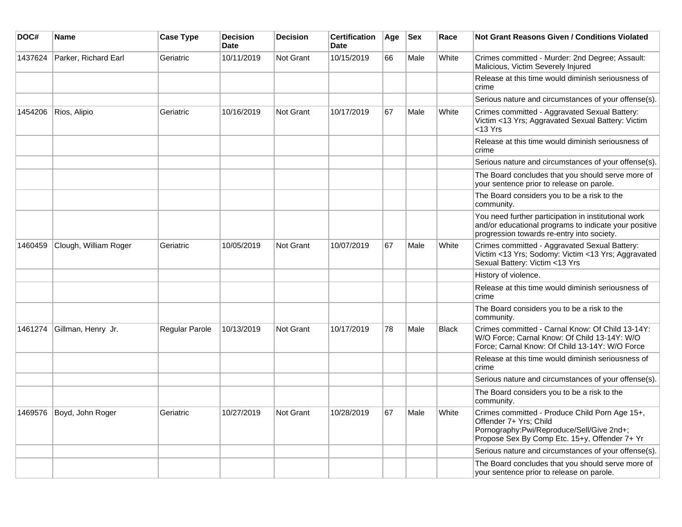| DOC#    | <b>Name</b>           | <b>Case Type</b> | <b>Decision</b><br><b>Date</b> | <b>Decision</b>  | <b>Certification</b><br>Date | Age | <b>Sex</b> | Race         | <b>Not Grant Reasons Given / Conditions Violated</b>                                                                                                                   |
|---------|-----------------------|------------------|--------------------------------|------------------|------------------------------|-----|------------|--------------|------------------------------------------------------------------------------------------------------------------------------------------------------------------------|
| 1437624 | Parker, Richard Earl  | Geriatric        | 10/11/2019                     | Not Grant        | 10/15/2019                   | 66  | Male       | White        | Crimes committed - Murder: 2nd Degree; Assault:<br>Malicious, Victim Severely Injured                                                                                  |
|         |                       |                  |                                |                  |                              |     |            |              | Release at this time would diminish seriousness of<br>crime                                                                                                            |
|         |                       |                  |                                |                  |                              |     |            |              | Serious nature and circumstances of your offense(s).                                                                                                                   |
| 1454206 | Rios, Alipio          | Geriatric        | 10/16/2019                     | Not Grant        | 10/17/2019                   | 67  | Male       | White        | Crimes committed - Aggravated Sexual Battery:<br>Victim <13 Yrs; Aggravated Sexual Battery: Victim<br>$<$ 13 Yrs                                                       |
|         |                       |                  |                                |                  |                              |     |            |              | Release at this time would diminish seriousness of<br>crime                                                                                                            |
|         |                       |                  |                                |                  |                              |     |            |              | Serious nature and circumstances of your offense(s).                                                                                                                   |
|         |                       |                  |                                |                  |                              |     |            |              | The Board concludes that you should serve more of<br>your sentence prior to release on parole.                                                                         |
|         |                       |                  |                                |                  |                              |     |            |              | The Board considers you to be a risk to the<br>community.                                                                                                              |
|         |                       |                  |                                |                  |                              |     |            |              | You need further participation in institutional work<br>and/or educational programs to indicate your positive<br>progression towards re-entry into society.            |
| 1460459 | Clough, William Roger | Geriatric        | 10/05/2019                     | <b>Not Grant</b> | 10/07/2019                   | 67  | Male       | White        | Crimes committed - Aggravated Sexual Battery:<br>Victim <13 Yrs; Sodomy: Victim <13 Yrs; Aggravated<br>Sexual Battery: Victim <13 Yrs                                  |
|         |                       |                  |                                |                  |                              |     |            |              | History of violence.                                                                                                                                                   |
|         |                       |                  |                                |                  |                              |     |            |              | Release at this time would diminish seriousness of<br>crime                                                                                                            |
|         |                       |                  |                                |                  |                              |     |            |              | The Board considers you to be a risk to the<br>community.                                                                                                              |
| 1461274 | Gillman, Henry Jr.    | Regular Parole   | 10/13/2019                     | Not Grant        | 10/17/2019                   | 78  | Male       | <b>Black</b> | Crimes committed - Carnal Know: Of Child 13-14Y:<br>W/O Force: Carnal Know: Of Child 13-14Y: W/O<br>Force: Carnal Know: Of Child 13-14Y: W/O Force                     |
|         |                       |                  |                                |                  |                              |     |            |              | Release at this time would diminish seriousness of<br>crime                                                                                                            |
|         |                       |                  |                                |                  |                              |     |            |              | Serious nature and circumstances of your offense(s).                                                                                                                   |
|         |                       |                  |                                |                  |                              |     |            |              | The Board considers you to be a risk to the<br>community.                                                                                                              |
| 1469576 | Boyd, John Roger      | Geriatric        | 10/27/2019                     | Not Grant        | 10/28/2019                   | 67  | Male       | White        | Crimes committed - Produce Child Porn Age 15+,<br>Offender 7+ Yrs: Child<br>Pornography:Pwi/Reproduce/Sell/Give 2nd+;<br>Propose Sex By Comp Etc. 15+y, Offender 7+ Yr |
|         |                       |                  |                                |                  |                              |     |            |              | Serious nature and circumstances of your offense(s).                                                                                                                   |
|         |                       |                  |                                |                  |                              |     |            |              | The Board concludes that you should serve more of<br>your sentence prior to release on parole.                                                                         |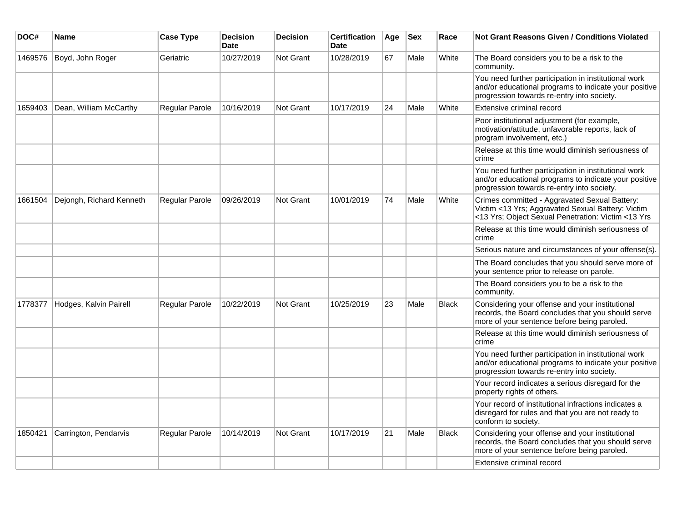| DOC#    | Name                     | <b>Case Type</b>      | <b>Decision</b><br>Date | <b>Decision</b>  | <b>Certification</b><br>Date | ∣Age | <b>Sex</b> | Race         | <b>Not Grant Reasons Given / Conditions Violated</b>                                                                                                        |
|---------|--------------------------|-----------------------|-------------------------|------------------|------------------------------|------|------------|--------------|-------------------------------------------------------------------------------------------------------------------------------------------------------------|
| 1469576 | Boyd, John Roger         | Geriatric             | 10/27/2019              | Not Grant        | 10/28/2019                   | 67   | Male       | White        | The Board considers you to be a risk to the<br>community.                                                                                                   |
|         |                          |                       |                         |                  |                              |      |            |              | You need further participation in institutional work<br>and/or educational programs to indicate your positive<br>progression towards re-entry into society. |
| 1659403 | Dean, William McCarthy   | Regular Parole        | 10/16/2019              | Not Grant        | 10/17/2019                   | 24   | Male       | White        | Extensive criminal record                                                                                                                                   |
|         |                          |                       |                         |                  |                              |      |            |              | Poor institutional adjustment (for example,<br>motivation/attitude, unfavorable reports, lack of<br>program involvement, etc.)                              |
|         |                          |                       |                         |                  |                              |      |            |              | Release at this time would diminish seriousness of<br>crime                                                                                                 |
|         |                          |                       |                         |                  |                              |      |            |              | You need further participation in institutional work<br>and/or educational programs to indicate your positive<br>progression towards re-entry into society. |
| 1661504 | Dejongh, Richard Kenneth | Regular Parole        | 09/26/2019              | <b>Not Grant</b> | 10/01/2019                   | 74   | Male       | White        | Crimes committed - Aggravated Sexual Battery:<br>Victim <13 Yrs; Aggravated Sexual Battery: Victim<br><13 Yrs; Object Sexual Penetration: Victim <13 Yrs    |
|         |                          |                       |                         |                  |                              |      |            |              | Release at this time would diminish seriousness of<br>crime                                                                                                 |
|         |                          |                       |                         |                  |                              |      |            |              | Serious nature and circumstances of your offense(s).                                                                                                        |
|         |                          |                       |                         |                  |                              |      |            |              | The Board concludes that you should serve more of<br>your sentence prior to release on parole.                                                              |
|         |                          |                       |                         |                  |                              |      |            |              | The Board considers you to be a risk to the<br>community.                                                                                                   |
| 1778377 | Hodges, Kalvin Pairell   | <b>Regular Parole</b> | 10/22/2019              | <b>Not Grant</b> | 10/25/2019                   | 23   | Male       | <b>Black</b> | Considering your offense and your institutional<br>records, the Board concludes that you should serve<br>more of your sentence before being paroled.        |
|         |                          |                       |                         |                  |                              |      |            |              | Release at this time would diminish seriousness of<br>crime                                                                                                 |
|         |                          |                       |                         |                  |                              |      |            |              | You need further participation in institutional work<br>and/or educational programs to indicate your positive<br>progression towards re-entry into society. |
|         |                          |                       |                         |                  |                              |      |            |              | Your record indicates a serious disregard for the<br>property rights of others.                                                                             |
|         |                          |                       |                         |                  |                              |      |            |              | Your record of institutional infractions indicates a<br>disregard for rules and that you are not ready to<br>conform to society.                            |
| 1850421 | Carrington, Pendarvis    | Regular Parole        | 10/14/2019              | <b>Not Grant</b> | 10/17/2019                   | 21   | Male       | <b>Black</b> | Considering your offense and your institutional<br>records, the Board concludes that you should serve<br>more of your sentence before being paroled.        |
|         |                          |                       |                         |                  |                              |      |            |              | Extensive criminal record                                                                                                                                   |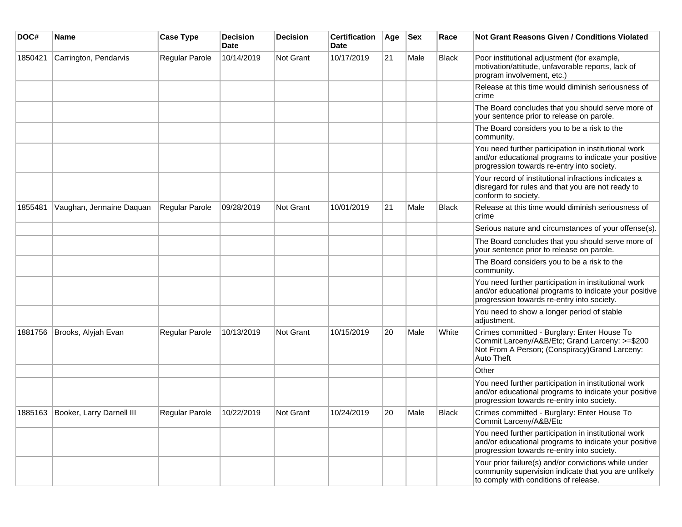| DOC#    | <b>Name</b>                       | <b>Case Type</b>      | <b>Decision</b><br><b>Date</b> | <b>Decision</b>  | <b>Certification</b><br>Date | Age | <b>Sex</b> | Race         | <b>Not Grant Reasons Given / Conditions Violated</b>                                                                                                          |
|---------|-----------------------------------|-----------------------|--------------------------------|------------------|------------------------------|-----|------------|--------------|---------------------------------------------------------------------------------------------------------------------------------------------------------------|
| 1850421 | Carrington, Pendarvis             | Regular Parole        | 10/14/2019                     | <b>Not Grant</b> | 10/17/2019                   | 21  | Male       | <b>Black</b> | Poor institutional adjustment (for example,<br>motivation/attitude, unfavorable reports, lack of<br>program involvement, etc.)                                |
|         |                                   |                       |                                |                  |                              |     |            |              | Release at this time would diminish seriousness of<br>crime                                                                                                   |
|         |                                   |                       |                                |                  |                              |     |            |              | The Board concludes that you should serve more of<br>your sentence prior to release on parole.                                                                |
|         |                                   |                       |                                |                  |                              |     |            |              | The Board considers you to be a risk to the<br>community.                                                                                                     |
|         |                                   |                       |                                |                  |                              |     |            |              | You need further participation in institutional work<br>and/or educational programs to indicate your positive<br>progression towards re-entry into society.   |
|         |                                   |                       |                                |                  |                              |     |            |              | Your record of institutional infractions indicates a<br>disregard for rules and that you are not ready to<br>conform to society.                              |
| 1855481 | Vaughan, Jermaine Daquan          | Regular Parole        | 09/28/2019                     | <b>Not Grant</b> | 10/01/2019                   | 21  | Male       | <b>Black</b> | Release at this time would diminish seriousness of<br>crime                                                                                                   |
|         |                                   |                       |                                |                  |                              |     |            |              | Serious nature and circumstances of your offense(s).                                                                                                          |
|         |                                   |                       |                                |                  |                              |     |            |              | The Board concludes that you should serve more of<br>your sentence prior to release on parole.                                                                |
|         |                                   |                       |                                |                  |                              |     |            |              | The Board considers you to be a risk to the<br>community.                                                                                                     |
|         |                                   |                       |                                |                  |                              |     |            |              | You need further participation in institutional work<br>and/or educational programs to indicate your positive<br>progression towards re-entry into society.   |
|         |                                   |                       |                                |                  |                              |     |            |              | You need to show a longer period of stable<br>adjustment.                                                                                                     |
| 1881756 | Brooks, Alyjah Evan               | Regular Parole        | 10/13/2019                     | <b>Not Grant</b> | 10/15/2019                   | 20  | Male       | White        | Crimes committed - Burglary: Enter House To<br>Commit Larceny/A&B/Etc; Grand Larceny: >=\$200<br>Not From A Person; (Conspiracy) Grand Larceny:<br>Auto Theft |
|         |                                   |                       |                                |                  |                              |     |            |              | Other                                                                                                                                                         |
|         |                                   |                       |                                |                  |                              |     |            |              | You need further participation in institutional work<br>and/or educational programs to indicate your positive<br>progression towards re-entry into society.   |
|         | 1885163 Booker, Larry Darnell III | <b>Regular Parole</b> | 10/22/2019                     | Not Grant        | 10/24/2019                   | 20  | Male       | <b>Black</b> | Crimes committed - Burglary: Enter House To<br>Commit Larceny/A&B/Etc                                                                                         |
|         |                                   |                       |                                |                  |                              |     |            |              | You need further participation in institutional work<br>and/or educational programs to indicate your positive<br>progression towards re-entry into society.   |
|         |                                   |                       |                                |                  |                              |     |            |              | Your prior failure(s) and/or convictions while under<br>community supervision indicate that you are unlikely<br>to comply with conditions of release.         |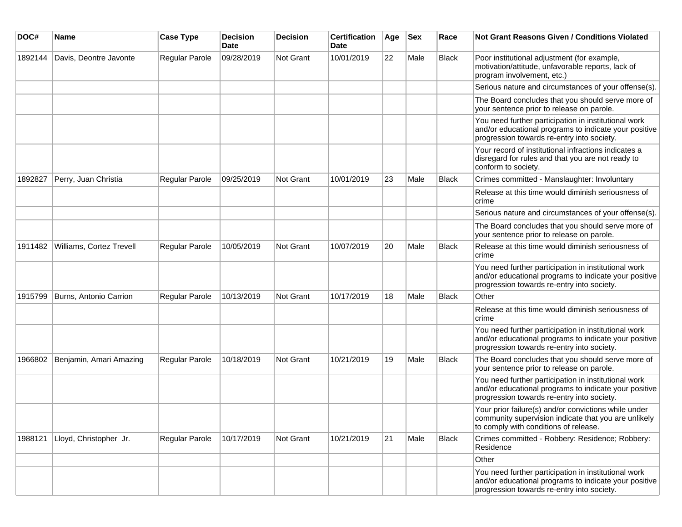| DOC#    | Name                     | <b>Case Type</b>      | <b>Decision</b><br><b>Date</b> | <b>Decision</b>  | <b>Certification</b><br><b>Date</b> | Age | <b>Sex</b> | Race  | <b>Not Grant Reasons Given / Conditions Violated</b>                                                                                                        |
|---------|--------------------------|-----------------------|--------------------------------|------------------|-------------------------------------|-----|------------|-------|-------------------------------------------------------------------------------------------------------------------------------------------------------------|
| 1892144 | Davis, Deontre Javonte   | Regular Parole        | 09/28/2019                     | Not Grant        | 10/01/2019                          | 22  | Male       | Black | Poor institutional adjustment (for example,<br>motivation/attitude, unfavorable reports, lack of<br>program involvement, etc.)                              |
|         |                          |                       |                                |                  |                                     |     |            |       | Serious nature and circumstances of your offense(s).                                                                                                        |
|         |                          |                       |                                |                  |                                     |     |            |       | The Board concludes that you should serve more of<br>your sentence prior to release on parole.                                                              |
|         |                          |                       |                                |                  |                                     |     |            |       | You need further participation in institutional work<br>and/or educational programs to indicate your positive<br>progression towards re-entry into society. |
|         |                          |                       |                                |                  |                                     |     |            |       | Your record of institutional infractions indicates a<br>disregard for rules and that you are not ready to<br>conform to society.                            |
| 1892827 | Perry, Juan Christia     | Regular Parole        | 09/25/2019                     | <b>Not Grant</b> | 10/01/2019                          | 23  | Male       | Black | Crimes committed - Manslaughter: Involuntary                                                                                                                |
|         |                          |                       |                                |                  |                                     |     |            |       | Release at this time would diminish seriousness of<br>crime                                                                                                 |
|         |                          |                       |                                |                  |                                     |     |            |       | Serious nature and circumstances of your offense(s).                                                                                                        |
|         |                          |                       |                                |                  |                                     |     |            |       | The Board concludes that you should serve more of<br>your sentence prior to release on parole.                                                              |
| 1911482 | Williams, Cortez Trevell | Regular Parole        | 10/05/2019                     | <b>Not Grant</b> | 10/07/2019                          | 20  | Male       | Black | Release at this time would diminish seriousness of<br>crime                                                                                                 |
|         |                          |                       |                                |                  |                                     |     |            |       | You need further participation in institutional work<br>and/or educational programs to indicate your positive<br>progression towards re-entry into society. |
| 1915799 | Burns, Antonio Carrion   | Regular Parole        | 10/13/2019                     | <b>Not Grant</b> | 10/17/2019                          | 18  | Male       | Black | Other                                                                                                                                                       |
|         |                          |                       |                                |                  |                                     |     |            |       | Release at this time would diminish seriousness of<br>crime                                                                                                 |
|         |                          |                       |                                |                  |                                     |     |            |       | You need further participation in institutional work<br>and/or educational programs to indicate your positive<br>progression towards re-entry into society. |
| 1966802 | Benjamin, Amari Amazing  | <b>Regular Parole</b> | 10/18/2019                     | <b>Not Grant</b> | 10/21/2019                          | 19  | Male       | Black | The Board concludes that you should serve more of<br>your sentence prior to release on parole.                                                              |
|         |                          |                       |                                |                  |                                     |     |            |       | You need further participation in institutional work<br>and/or educational programs to indicate your positive<br>progression towards re-entry into society. |
|         |                          |                       |                                |                  |                                     |     |            |       | Your prior failure(s) and/or convictions while under<br>community supervision indicate that you are unlikely<br>to comply with conditions of release.       |
| 1988121 | Lloyd, Christopher Jr.   | Regular Parole        | 10/17/2019                     | Not Grant        | 10/21/2019                          | 21  | Male       | Black | Crimes committed - Robbery: Residence; Robbery:<br>Residence                                                                                                |
|         |                          |                       |                                |                  |                                     |     |            |       | Other                                                                                                                                                       |
|         |                          |                       |                                |                  |                                     |     |            |       | You need further participation in institutional work<br>and/or educational programs to indicate your positive<br>progression towards re-entry into society. |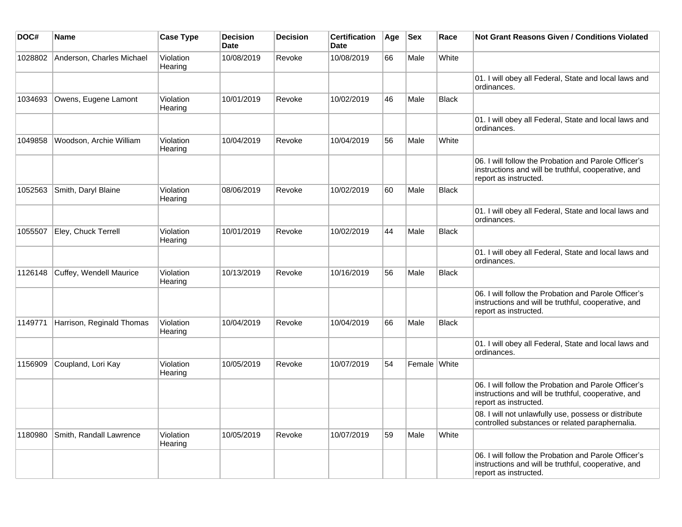| DOC#    | Name                      | <b>Case Type</b>     | <b>Decision</b><br><b>Date</b> | <b>Decision</b> | <b>Certification</b><br><b>Date</b> | Age | <b>Sex</b>   | Race         | Not Grant Reasons Given / Conditions Violated                                                                                        |
|---------|---------------------------|----------------------|--------------------------------|-----------------|-------------------------------------|-----|--------------|--------------|--------------------------------------------------------------------------------------------------------------------------------------|
| 1028802 | Anderson, Charles Michael | Violation<br>Hearing | 10/08/2019                     | Revoke          | 10/08/2019                          | 66  | Male         | White        |                                                                                                                                      |
|         |                           |                      |                                |                 |                                     |     |              |              | 01. I will obey all Federal, State and local laws and<br>ordinances.                                                                 |
| 1034693 | Owens, Eugene Lamont      | Violation<br>Hearing | 10/01/2019                     | Revoke          | 10/02/2019                          | 46  | Male         | <b>Black</b> |                                                                                                                                      |
|         |                           |                      |                                |                 |                                     |     |              |              | 01. I will obey all Federal, State and local laws and<br>ordinances.                                                                 |
| 1049858 | Woodson, Archie William   | Violation<br>Hearing | 10/04/2019                     | Revoke          | 10/04/2019                          | 56  | Male         | White        |                                                                                                                                      |
|         |                           |                      |                                |                 |                                     |     |              |              | 06. I will follow the Probation and Parole Officer's<br>instructions and will be truthful, cooperative, and<br>report as instructed. |
| 1052563 | Smith, Daryl Blaine       | Violation<br>Hearing | 08/06/2019                     | Revoke          | 10/02/2019                          | 60  | Male         | <b>Black</b> |                                                                                                                                      |
|         |                           |                      |                                |                 |                                     |     |              |              | 01. I will obey all Federal, State and local laws and<br>ordinances.                                                                 |
| 1055507 | Eley, Chuck Terrell       | Violation<br>Hearing | 10/01/2019                     | Revoke          | 10/02/2019                          | 44  | Male         | Black        |                                                                                                                                      |
|         |                           |                      |                                |                 |                                     |     |              |              | 01. I will obey all Federal, State and local laws and<br>ordinances.                                                                 |
| 1126148 | Cuffey, Wendell Maurice   | Violation<br>Hearing | 10/13/2019                     | Revoke          | 10/16/2019                          | 56  | Male         | <b>Black</b> |                                                                                                                                      |
|         |                           |                      |                                |                 |                                     |     |              |              | 06. I will follow the Probation and Parole Officer's<br>instructions and will be truthful, cooperative, and<br>report as instructed. |
| 1149771 | Harrison, Reginald Thomas | Violation<br>Hearing | 10/04/2019                     | Revoke          | 10/04/2019                          | 66  | Male         | <b>Black</b> |                                                                                                                                      |
|         |                           |                      |                                |                 |                                     |     |              |              | 01. I will obey all Federal, State and local laws and<br>ordinances.                                                                 |
| 1156909 | Coupland, Lori Kay        | Violation<br>Hearing | 10/05/2019                     | Revoke          | 10/07/2019                          | 54  | Female White |              |                                                                                                                                      |
|         |                           |                      |                                |                 |                                     |     |              |              | 06. I will follow the Probation and Parole Officer's<br>instructions and will be truthful, cooperative, and<br>report as instructed. |
|         |                           |                      |                                |                 |                                     |     |              |              | 08. I will not unlawfully use, possess or distribute<br>controlled substances or related paraphernalia.                              |
| 1180980 | Smith, Randall Lawrence   | Violation<br>Hearing | 10/05/2019                     | Revoke          | 10/07/2019                          | 59  | Male         | White        |                                                                                                                                      |
|         |                           |                      |                                |                 |                                     |     |              |              | 06. I will follow the Probation and Parole Officer's<br>instructions and will be truthful, cooperative, and<br>report as instructed. |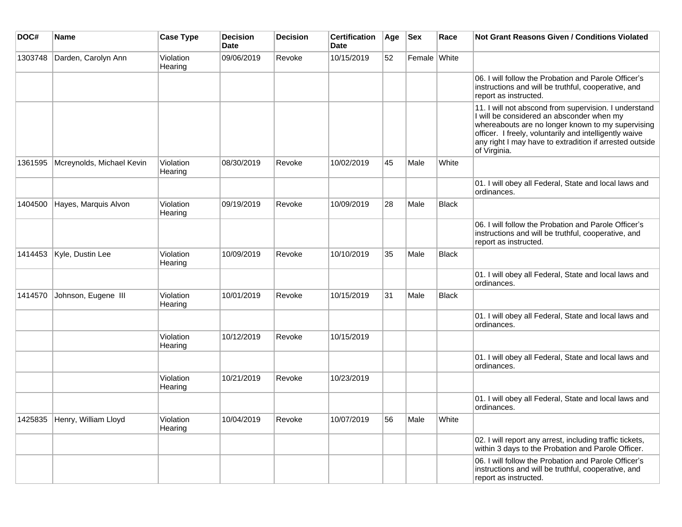| DOC#    | <b>Name</b>                  | <b>Case Type</b>     | <b>Decision</b><br><b>Date</b> | <b>Decision</b> | <b>Certification</b><br><b>Date</b> | Age | <b>Sex</b>   | Race         | <b>Not Grant Reasons Given / Conditions Violated</b>                                                                                                                                                                                                                                         |
|---------|------------------------------|----------------------|--------------------------------|-----------------|-------------------------------------|-----|--------------|--------------|----------------------------------------------------------------------------------------------------------------------------------------------------------------------------------------------------------------------------------------------------------------------------------------------|
| 1303748 | Darden, Carolyn Ann          | Violation<br>Hearing | 09/06/2019                     | Revoke          | 10/15/2019                          | 52  | Female White |              |                                                                                                                                                                                                                                                                                              |
|         |                              |                      |                                |                 |                                     |     |              |              | 06. I will follow the Probation and Parole Officer's<br>instructions and will be truthful, cooperative, and<br>report as instructed.                                                                                                                                                         |
|         |                              |                      |                                |                 |                                     |     |              |              | 11. I will not abscond from supervision. I understand<br>I will be considered an absconder when my<br>whereabouts are no longer known to my supervising<br>officer. I freely, voluntarily and intelligently waive<br>any right I may have to extradition if arrested outside<br>of Virginia. |
| 1361595 | Mcreynolds, Michael Kevin    | Violation<br>Hearing | 08/30/2019                     | Revoke          | 10/02/2019                          | 45  | Male         | White        |                                                                                                                                                                                                                                                                                              |
|         |                              |                      |                                |                 |                                     |     |              |              | 01. I will obey all Federal, State and local laws and<br>ordinances.                                                                                                                                                                                                                         |
| 1404500 | Hayes, Marquis Alvon         | Violation<br>Hearing | 09/19/2019                     | Revoke          | 10/09/2019                          | 28  | Male         | <b>Black</b> |                                                                                                                                                                                                                                                                                              |
|         |                              |                      |                                |                 |                                     |     |              |              | 06. I will follow the Probation and Parole Officer's<br>instructions and will be truthful, cooperative, and<br>report as instructed.                                                                                                                                                         |
| 1414453 | Kyle, Dustin Lee             | Violation<br>Hearing | 10/09/2019                     | Revoke          | 10/10/2019                          | 35  | Male         | Black        |                                                                                                                                                                                                                                                                                              |
|         |                              |                      |                                |                 |                                     |     |              |              | 01. I will obey all Federal, State and local laws and<br>ordinances.                                                                                                                                                                                                                         |
| 1414570 | Johnson, Eugene III          | Violation<br>Hearing | 10/01/2019                     | Revoke          | 10/15/2019                          | 31  | Male         | Black        |                                                                                                                                                                                                                                                                                              |
|         |                              |                      |                                |                 |                                     |     |              |              | 01. I will obey all Federal, State and local laws and<br>ordinances.                                                                                                                                                                                                                         |
|         |                              | Violation<br>Hearing | 10/12/2019                     | Revoke          | 10/15/2019                          |     |              |              |                                                                                                                                                                                                                                                                                              |
|         |                              |                      |                                |                 |                                     |     |              |              | 01. I will obey all Federal, State and local laws and<br>ordinances.                                                                                                                                                                                                                         |
|         |                              | Violation<br>Hearing | 10/21/2019                     | Revoke          | 10/23/2019                          |     |              |              |                                                                                                                                                                                                                                                                                              |
|         |                              |                      |                                |                 |                                     |     |              |              | 01. I will obey all Federal, State and local laws and<br>ordinances.                                                                                                                                                                                                                         |
|         | 1425835 Henry, William Lloyd | Violation<br>Hearing | 10/04/2019                     | Revoke          | 10/07/2019                          | 56  | Male         | White        |                                                                                                                                                                                                                                                                                              |
|         |                              |                      |                                |                 |                                     |     |              |              | 02. I will report any arrest, including traffic tickets,<br>within 3 days to the Probation and Parole Officer.                                                                                                                                                                               |
|         |                              |                      |                                |                 |                                     |     |              |              | 06. I will follow the Probation and Parole Officer's<br>instructions and will be truthful, cooperative, and<br>report as instructed.                                                                                                                                                         |